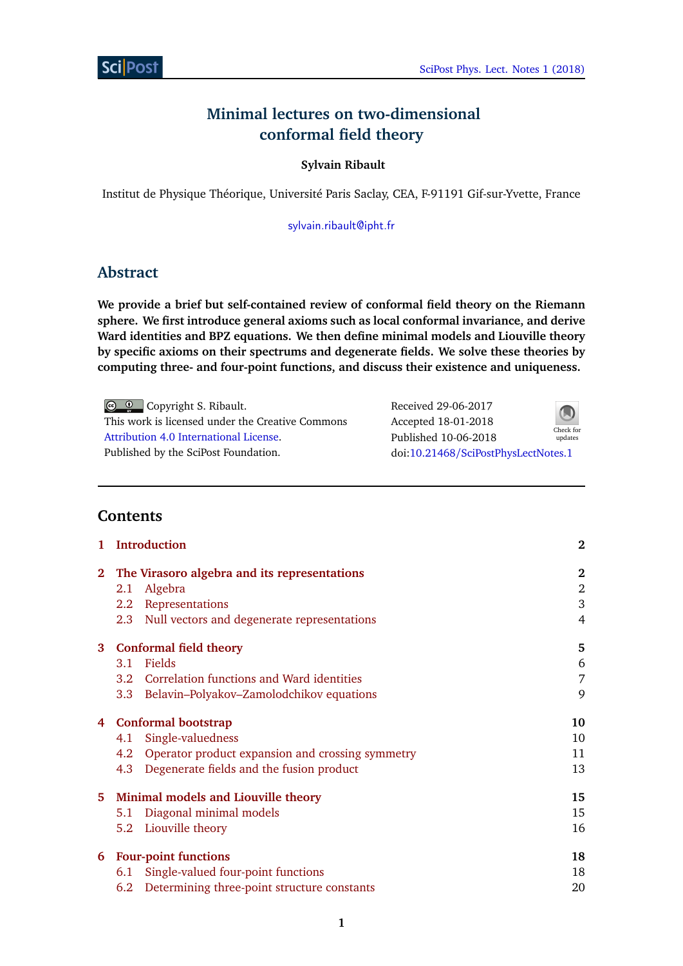# **Minimal lectures on two-dimensional conformal field theory**

# **Sylvain Ribault**

Institut de Physique Théorique, Université Paris Saclay, CEA, F-91191 Gif-sur-Yvette, France

[sylvain.ribault@ipht.fr](mailto:sylvain.ribault@ipht.fr)

# **Abstract**

**We provide a brief but self-contained review of conformal field theory on the Riemann sphere. We first introduce general axioms such as local conformal invariance, and derive Ward identities and BPZ equations. We then define minimal models and Liouville theory by specific axioms on their spectrums and degenerate fields. We solve these theories by computing three- and four-point functions, and discuss their existence and uniqueness.**

© © Copyright S. Ribault. This work is licensed under the Creative Commons [Attribution 4.0 International License.](http://creativecommons.org/licenses/by/4.0/) Published by the SciPost Foundation.

| Received 29-06-2017                 |           |
|-------------------------------------|-----------|
| Accepted 18-01-2018                 | Check for |
| Published 10-06-2018                | updates   |
| doi:10.21468/SciPostPhysLectNotes.1 |           |

# **Contents**

|              | <b>Introduction</b>                                          | $\bf{2}$       |
|--------------|--------------------------------------------------------------|----------------|
| $\mathbf{2}$ | The Virasoro algebra and its representations                 | $\bf{2}$       |
|              | Algebra<br>2.1                                               | 2              |
|              | 2.2 Representations                                          | 3              |
|              | Null vectors and degenerate representations<br>2.3           | $\overline{4}$ |
|              | 3 Conformal field theory                                     | 5              |
|              | Fields<br>3.1                                                | 6              |
|              | 3.2 Correlation functions and Ward identities                | 7              |
|              | Belavin-Polyakov-Zamolodchikov equations<br>3.3 <sup>2</sup> | 9              |
|              | 4 Conformal bootstrap                                        | 10             |
|              | Single-valuedness<br>4.1                                     | 10             |
|              | 4.2 Operator product expansion and crossing symmetry         | 11             |
|              | Degenerate fields and the fusion product<br>4.3              | 13             |
|              | 5 Minimal models and Liouville theory                        | 15             |
|              | Diagonal minimal models<br>5.1                               | 15             |
|              | Liouville theory<br>5.2                                      | 16             |
| 6            | <b>Four-point functions</b>                                  | 18             |
|              | Single-valued four-point functions<br>6.1                    | 18             |
|              | Determining three-point structure constants<br>6.2           | 20             |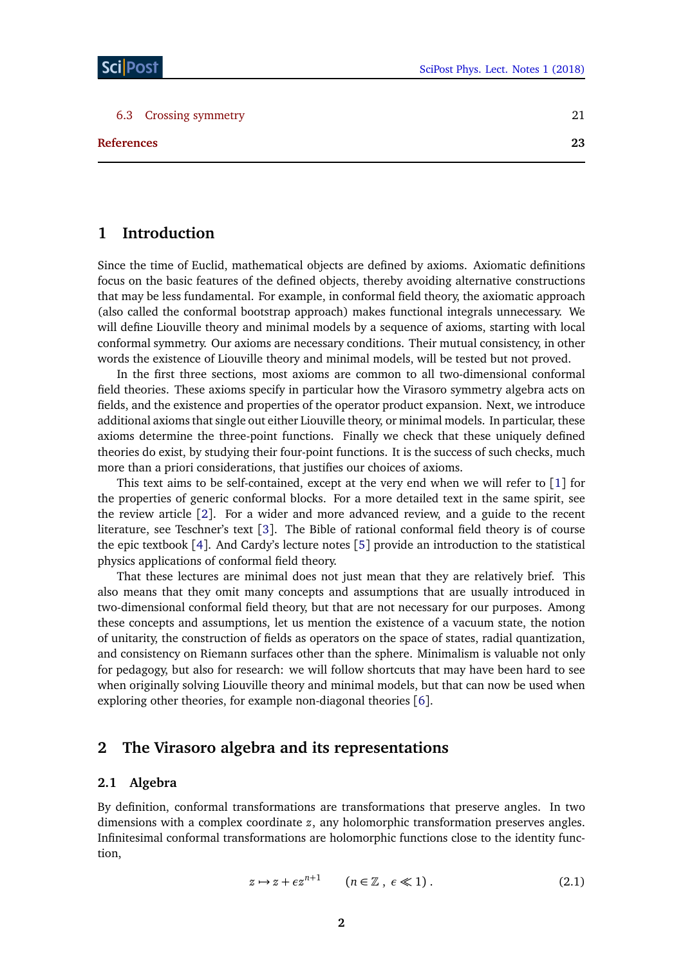| 6.3 Crossing symmetry |  |
|-----------------------|--|
|                       |  |

**[References](#page-21-0) 23**

# <span id="page-1-0"></span>**1 Introduction**

Since the time of Euclid, mathematical objects are defined by axioms. Axiomatic definitions focus on the basic features of the defined objects, thereby avoiding alternative constructions that may be less fundamental. For example, in conformal field theory, the axiomatic approach (also called the conformal bootstrap approach) makes functional integrals unnecessary. We will define Liouville theory and minimal models by a sequence of axioms, starting with local conformal symmetry. Our axioms are necessary conditions. Their mutual consistency, in other words the existence of Liouville theory and minimal models, will be tested but not proved.

In the first three sections, most axioms are common to all two-dimensional conformal field theories. These axioms specify in particular how the Virasoro symmetry algebra acts on fields, and the existence and properties of the operator product expansion. Next, we introduce additional axioms that single out either Liouville theory, or minimal models. In particular, these axioms determine the three-point functions. Finally we check that these uniquely defined theories do exist, by studying their four-point functions. It is the success of such checks, much more than a priori considerations, that justifies our choices of axioms.

This text aims to be self-contained, except at the very end when we will refer to [[1](#page-22-0)] for the properties of generic conformal blocks. For a more detailed text in the same spirit, see the review article [[2](#page-22-1)]. For a wider and more advanced review, and a guide to the recent literature, see Teschner's text [[3](#page-22-2)]. The Bible of rational conformal field theory is of course the epic textbook [[4](#page-22-3)]. And Cardy's lecture notes [[5](#page-22-4)] provide an introduction to the statistical physics applications of conformal field theory.

That these lectures are minimal does not just mean that they are relatively brief. This also means that they omit many concepts and assumptions that are usually introduced in two-dimensional conformal field theory, but that are not necessary for our purposes. Among these concepts and assumptions, let us mention the existence of a vacuum state, the notion of unitarity, the construction of fields as operators on the space of states, radial quantization, and consistency on Riemann surfaces other than the sphere. Minimalism is valuable not only for pedagogy, but also for research: we will follow shortcuts that may have been hard to see when originally solving Liouville theory and minimal models, but that can now be used when exploring other theories, for example non-diagonal theories [[6](#page-22-5)].

# <span id="page-1-1"></span>**2 The Virasoro algebra and its representations**

## <span id="page-1-2"></span>**2.1 Algebra**

By definition, conformal transformations are transformations that preserve angles. In two dimensions with a complex coordinate *z*, any holomorphic transformation preserves angles. Infinitesimal conformal transformations are holomorphic functions close to the identity function,

$$
z \mapsto z + \epsilon z^{n+1} \qquad (n \in \mathbb{Z}, \ \epsilon \ll 1).
$$
 (2.1)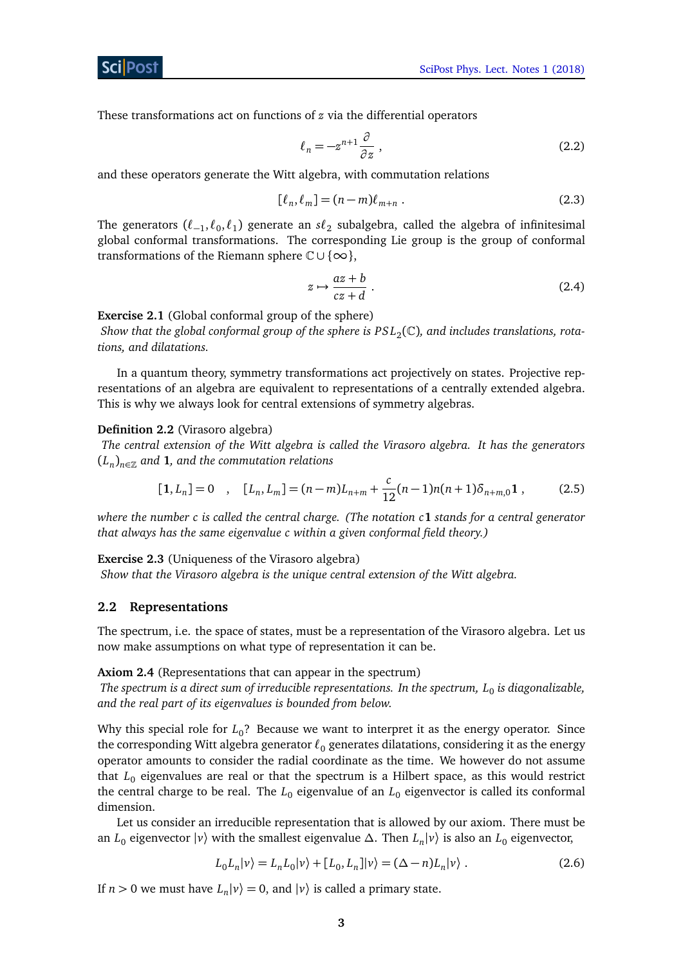ScilPos<sup>.</sup>

These transformations act on functions of *z* via the differential operators

$$
\ell_n = -z^{n+1} \frac{\partial}{\partial z} \,,\tag{2.2}
$$

and these operators generate the Witt algebra, with commutation relations

$$
[\ell_n, \ell_m] = (n-m)\ell_{m+n} . \tag{2.3}
$$

The generators  $(\ell_{-1}, \ell_0, \ell_1)$  generate an  $\mathfrak{sl}_2$  subalgebra, called the algebra of infinitesimal global conformal transformations. The corresponding Lie group is the group of conformal transformations of the Riemann sphere  $\mathbb{C} \cup \{\infty\},$ 

$$
z \mapsto \frac{az+b}{cz+d} \ . \tag{2.4}
$$

**Exercise 2.1** (Global conformal group of the sphere)

Show that the global conformal group of the sphere is  $PSL_2(\mathbb{C})$ , and includes translations, rota*tions, and dilatations.*

In a quantum theory, symmetry transformations act projectively on states. Projective representations of an algebra are equivalent to representations of a centrally extended algebra. This is why we always look for central extensions of symmetry algebras.

#### **Definition 2.2** (Virasoro algebra)

*The central extension of the Witt algebra is called the Virasoro algebra. It has the generators* (*L<sup>n</sup>* )*n*∈<sup>Z</sup> *and* **1***, and the commutation relations*

$$
[1, L_n] = 0 \quad , \quad [L_n, L_m] = (n - m)L_{n+m} + \frac{c}{12}(n - 1)n(n + 1)\delta_{n+m,0}1 \; , \tag{2.5}
$$

*where the number c is called the central charge. (The notation c***1** *stands for a central generator that always has the same eigenvalue c within a given conformal field theory.)*

**Exercise 2.3** (Uniqueness of the Virasoro algebra)

*Show that the Virasoro algebra is the unique central extension of the Witt algebra.*

#### <span id="page-2-0"></span>**2.2 Representations**

The spectrum, i.e. the space of states, must be a representation of the Virasoro algebra. Let us now make assumptions on what type of representation it can be.

<span id="page-2-1"></span>**Axiom 2.4** (Representations that can appear in the spectrum)

*The spectrum is a direct sum of irreducible representations. In the spectrum, L*<sup>0</sup> *is diagonalizable, and the real part of its eigenvalues is bounded from below.*

Why this special role for  $L_0$ ? Because we want to interpret it as the energy operator. Since the corresponding Witt algebra generator  $\ell_0$  generates dilatations, considering it as the energy operator amounts to consider the radial coordinate as the time. We however do not assume that  $L_0$  eigenvalues are real or that the spectrum is a Hilbert space, as this would restrict the central charge to be real. The  $L_0$  eigenvalue of an  $L_0$  eigenvector is called its conformal dimension.

Let us consider an irreducible representation that is allowed by our axiom. There must be an *L*<sup>0</sup> eigenvector |*v*〉 with the smallest eigenvalue *∆*. Then *L<sup>n</sup>* |*v*〉 is also an *L*<sup>0</sup> eigenvector,

$$
L_0L_n|\nu\rangle = L_nL_0|\nu\rangle + [L_0, L_n]|\nu\rangle = (\Delta - n)L_n|\nu\rangle. \tag{2.6}
$$

If  $n > 0$  we must have  $L_n |v\rangle = 0$ , and  $|v\rangle$  is called a primary state.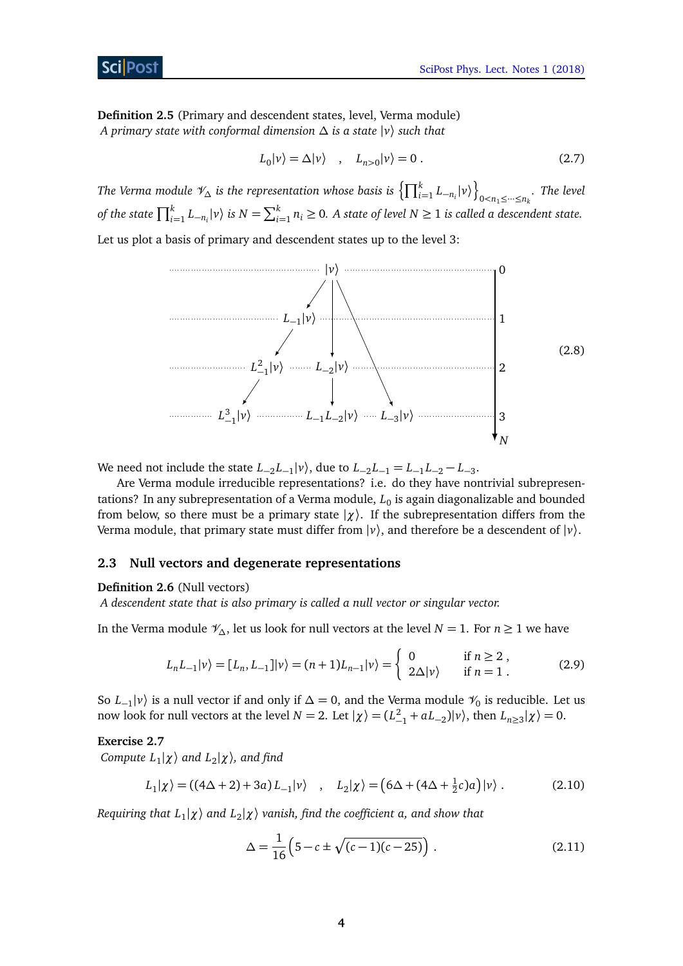**Definition 2.5** (Primary and descendent states, level, Verma module) *A primary state with conformal dimension ∆ is a state* |*v*〉 *such that*

$$
L_0|\nu\rangle = \Delta|\nu\rangle \quad , \quad L_{n>0}|\nu\rangle = 0 \; . \tag{2.7}
$$

*The Verma module*  $\mathscr{V}_{\Delta}$  *is the representation whose basis is*  $\left\{\prod_{i=1}^{k}L_{-n_{i}}|\nu\rangle\right\}$  $0$  < $n_1$  ≤  $\cdots$  ≤ $n_k$  *The level of the state*  $\prod_{i=1}^{k} L_{-n_i}|v\rangle$  *is*  $N = \sum_{i=1}^{k} n_i \ge 0$ . A state of level  $N \ge 1$  is called a descendent state.

Let us plot a basis of primary and descendent states up to the level 3:



We need not include the state  $L_{-2}L_{-1}|v\rangle$ , due to  $L_{-2}L_{-1} = L_{-1}L_{-2} - L_{-3}$ .

Are Verma module irreducible representations? i.e. do they have nontrivial subrepresentations? In any subrepresentation of a Verma module,  $L_{0}$  is again diagonalizable and bounded from below, so there must be a primary state  $|\chi\rangle$ . If the subrepresentation differs from the Verma module, that primary state must differ from  $|\nu\rangle$ , and therefore be a descendent of  $|\nu\rangle$ .

## <span id="page-3-0"></span>**2.3 Null vectors and degenerate representations**

## **Definition 2.6** (Null vectors)

*A descendent state that is also primary is called a null vector or singular vector.*

In the Verma module  $\mathcal{V}_\Delta$ , let us look for null vectors at the level *N* = 1. For *n* ≥ 1 we have

$$
L_n L_{-1} |\nu\rangle = [L_n, L_{-1}] |\nu\rangle = (n+1) L_{n-1} |\nu\rangle = \begin{cases} 0 & \text{if } n \ge 2, \\ 2\Delta |\nu\rangle & \text{if } n = 1. \end{cases}
$$
 (2.9)

So  $L_{-1}|v\rangle$  is a null vector if and only if  $\Delta = 0$ , and the Verma module  $\mathcal{V}_0$  is reducible. Let us now look for null vectors at the level  $N = 2$ . Let  $|\chi\rangle = (L_{-1}^2 + aL_{-2})|\nu\rangle$ , then  $L_{n \ge 3}|\chi\rangle = 0$ .

## **Exercise 2.7**

*Compute L*<sup>1</sup> |*χ*〉 *and L*<sup>2</sup> |*χ*〉*, and find*

$$
L_1|\chi\rangle = ((4\Delta + 2) + 3a)L_{-1}|\nu\rangle \quad , \quad L_2|\chi\rangle = (6\Delta + (4\Delta + \frac{1}{2}c)a)|\nu\rangle . \tag{2.10}
$$

*Requiring that L*<sup>1</sup> |*χ*〉 *and L*<sup>2</sup> |*χ*〉 *vanish, find the coefficient a, and show that*

<span id="page-3-1"></span>
$$
\Delta = \frac{1}{16} \left( 5 - c \pm \sqrt{(c - 1)(c - 25)} \right). \tag{2.11}
$$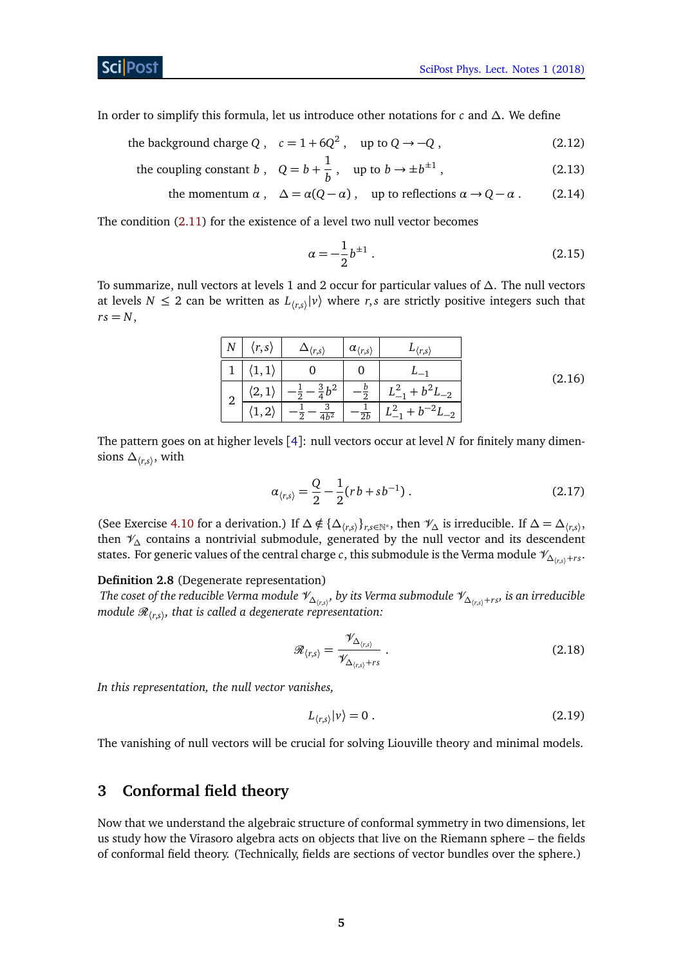In order to simplify this formula, let us introduce other notations for *c* and *∆*. We define

- the background charge  $Q$ ,  $c = 1 + 6Q^2$ , up to  $Q \rightarrow -Q$ , (2.12)
	- the coupling constant *b*,  $Q = b + \frac{1}{b}$  $\frac{1}{b}$ , up to  $b \to \pm b^{\pm 1}$  $(2.13)$ 
		- the momentum  $\alpha$ ,  $\Delta = \alpha(Q \alpha)$ , up to reflections  $\alpha \to Q \alpha$ . (2.14)

The condition [\(2.11\)](#page-3-1) for the existence of a level two null vector becomes

<span id="page-4-2"></span>
$$
\alpha = -\frac{1}{2}b^{\pm 1} \,. \tag{2.15}
$$

To summarize, null vectors at levels 1 and 2 occur for particular values of *∆*. The null vectors at levels  $N \leq 2$  can be written as  $L_{\langle r,s \rangle} |v\rangle$  where  $r,s$  are strictly positive integers such that  $rs = N$ ,

| $\boldsymbol{N}$ | r,s                     | $\rightarrow$ $\langle r,s \rangle$ | $\alpha_{\langle r,s\rangle}$ | $r_{\rm s}$        |        |
|------------------|-------------------------|-------------------------------------|-------------------------------|--------------------|--------|
|                  |                         |                                     |                               |                    | (2.16) |
| ി                | ്റ<br>, ک               | $\frac{3}{4}b^2$                    |                               | $+ b^2 L_{-2}$     |        |
| ∠                | $\Omega$<br>∠<br>. و ۲. | 2<br>$\overline{4b^2}$<br>ົ         | 2b                            | $-2.1$<br>$L_{-2}$ |        |

The pattern goes on at higher levels [[4](#page-22-3)]: null vectors occur at level *N* for finitely many dimensions  $\Delta_{\langle r,s\rangle}$ , with

<span id="page-4-1"></span>
$$
\alpha_{\langle r,s\rangle} = \frac{Q}{2} - \frac{1}{2} (r b + s b^{-1}) \,. \tag{2.17}
$$

(See Exercise [4.10](#page-13-0) for a derivation.) If  $\Delta \notin {\{\Delta_{(r,s)}\}}_{r,s \in \mathbb{N}^*}$ , then  $\mathcal{V}_{\Delta}$  is irreducible. If  $\Delta = \Delta_{(r,s)}$ , then V*<sup>∆</sup>* contains a nontrivial submodule, generated by the null vector and its descendent states. For generic values of the central charge *c*, this submodule is the Verma module  $\mathcal{V}_{\Delta_{\{r,s\}}+rs}$ .

#### **Definition 2.8** (Degenerate representation)

 $T$ he coset of the reducible Verma module  $\mathscr{V}_{\Delta_{(r,s)}},$  by its Verma submodule  $\mathscr{V}_{\Delta_{(r,s)}+rs}$ , is an irreducible *module* R〈*r*,*s*〉 *, that is called a degenerate representation:*

$$
\mathscr{R}_{\langle r,s\rangle} = \frac{\mathscr{V}_{\Delta_{\langle r,s\rangle}}}{\mathscr{V}_{\Delta_{\langle r,s\rangle}+rs}} \ . \tag{2.18}
$$

*In this representation, the null vector vanishes,*

$$
L_{\langle r,s\rangle}|v\rangle = 0.
$$
\n(2.19)

The vanishing of null vectors will be crucial for solving Liouville theory and minimal models.

# <span id="page-4-0"></span>**3 Conformal field theory**

Now that we understand the algebraic structure of conformal symmetry in two dimensions, let us study how the Virasoro algebra acts on objects that live on the Riemann sphere – the fields of conformal field theory. (Technically, fields are sections of vector bundles over the sphere.)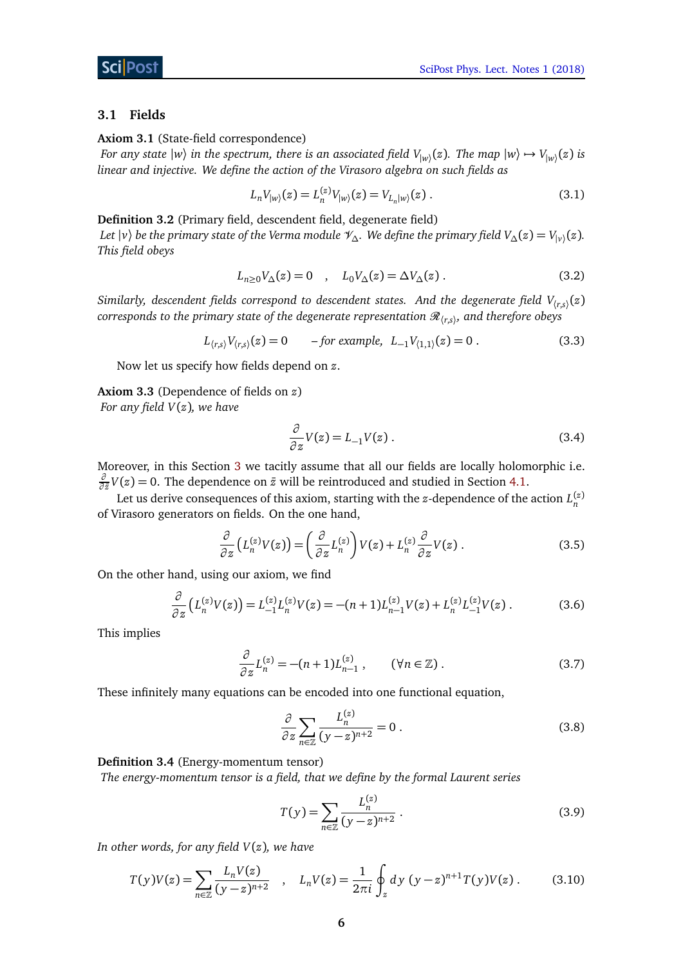#### <span id="page-5-0"></span>**3.1 Fields**

**Axiom 3.1** (State-field correspondence)

*For any state*  $|w\rangle$  *in the spectrum, there is an associated field*  $V_{|w\rangle}(z)$ *. The map*  $|w\rangle \mapsto V_{|w\rangle}(z)$  *is linear and injective. We define the action of the Virasoro algebra on such fields as*

$$
L_n V_{|w\rangle}(z) = L_n^{(z)} V_{|w\rangle}(z) = V_{L_n|w\rangle}(z) . \tag{3.1}
$$

**Definition 3.2** (Primary field, descendent field, degenerate field)

*Let*  $|v\rangle$  *be the primary state of the Verma module*  $\mathscr{V}_{\Delta}$ *. We define the primary field*  $V_{\Delta}(z) = V_{|v\rangle}(z)$ *. This field obeys*

$$
L_{n\geq 0}V_{\Delta}(z) = 0 \quad , \quad L_0V_{\Delta}(z) = \Delta V_{\Delta}(z) . \tag{3.2}
$$

 $S$ imilarly, descendent fields correspond to descendent states. And the degenerate field  $V_{\langle r,s\rangle}(z)$  $corresponds$  to the primary state of the degenerate representation  $\mathscr{R}_{\langle r,s \rangle}$ , and therefore obeys

$$
L_{(r,s)}V_{(r,s)}(z) = 0 \t - for example, \t L_{-1}V_{(1,1)}(z) = 0.
$$
\t(3.3)

Now let us specify how fields depend on *z*.

**Axiom 3.3** (Dependence of fields on *z*)

*For any field V*(*z*)*, we have*

<span id="page-5-1"></span>
$$
\frac{\partial}{\partial z}V(z) = L_{-1}V(z) \tag{3.4}
$$

Moreover, in this Section [3](#page-4-0) we tacitly assume that all our fields are locally holomorphic i.e. *∂*  $\frac{\partial}{\partial \bar{z}}V(z) = 0$ . The dependence on  $\bar{z}$  will be reintroduced and studied in Section [4.1.](#page-9-1)

Let us derive consequences of this axiom, starting with the *z*-dependence of the action  $L_n^{(z)}$ of Virasoro generators on fields. On the one hand,

$$
\frac{\partial}{\partial z}\left(L_n^{(z)}V(z)\right) = \left(\frac{\partial}{\partial z}L_n^{(z)}\right)V(z) + L_n^{(z)}\frac{\partial}{\partial z}V(z) \,. \tag{3.5}
$$

On the other hand, using our axiom, we find

$$
\frac{\partial}{\partial z}\left(L_n^{(z)}V(z)\right) = L_{-1}^{(z)}L_n^{(z)}V(z) = -(n+1)L_{n-1}^{(z)}V(z) + L_n^{(z)}L_{-1}^{(z)}V(z) \,. \tag{3.6}
$$

This implies

$$
\frac{\partial}{\partial z} L_n^{(z)} = -(n+1)L_{n-1}^{(z)}, \qquad (\forall n \in \mathbb{Z}).
$$
\n(3.7)

These infinitely many equations can be encoded into one functional equation,

$$
\frac{\partial}{\partial z} \sum_{n \in \mathbb{Z}} \frac{L_n^{(z)}}{(y - z)^{n+2}} = 0.
$$
\n(3.8)

**Definition 3.4** (Energy-momentum tensor)

*The energy-momentum tensor is a field, that we define by the formal Laurent series*

<span id="page-5-2"></span>
$$
T(y) = \sum_{n \in \mathbb{Z}} \frac{L_n^{(z)}}{(y - z)^{n+2}}.
$$
\n(3.9)

*In other words, for any field V*(*z*)*, we have*

$$
T(y)V(z) = \sum_{n \in \mathbb{Z}} \frac{L_n V(z)}{(y - z)^{n+2}} \quad , \quad L_n V(z) = \frac{1}{2\pi i} \oint_z dy \ (y - z)^{n+1} T(y) V(z) \,. \tag{3.10}
$$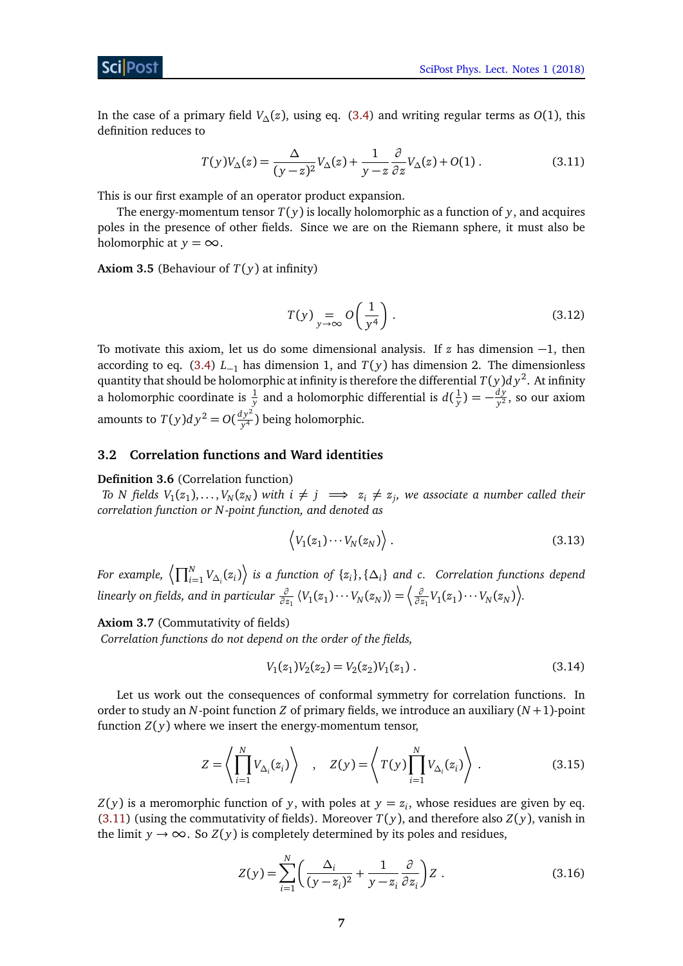In the case of a primary field *V∆*(*z*), using eq. [\(3.4\)](#page-5-1) and writing regular terms as *O*(1), this definition reduces to

$$
T(y)V_{\Delta}(z) = \frac{\Delta}{(y-z)^2}V_{\Delta}(z) + \frac{1}{y-z}\frac{\partial}{\partial z}V_{\Delta}(z) + O(1) \tag{3.11}
$$

This is our first example of an operator product expansion.

The energy-momentum tensor  $T(y)$  is locally holomorphic as a function of y, and acquires poles in the presence of other fields. Since we are on the Riemann sphere, it must also be holomorphic at  $y = \infty$ .

**Axiom 3.5** (Behaviour of  $T(y)$  at infinity)

<span id="page-6-1"></span>
$$
T(y) = o\left(\frac{1}{y^4}\right). \tag{3.12}
$$

To motivate this axiom, let us do some dimensional analysis. If *z* has dimension −1, then according to eq. [\(3.4\)](#page-5-1) *L*−<sup>1</sup> has dimension 1, and *T*( *y*) has dimension 2. The dimensionless quantity that should be holomorphic at infinity is therefore the differential  $T(y) dy^2$ . At infinity a holomorphic coordinate is  $\frac{1}{y}$  and a holomorphic differential is  $d(\frac{1}{y})$  $(\frac{1}{y}) = -\frac{dy}{y^2}$  $\frac{uy}{y^2}$ , so our axiom amounts to  $T(y)dy^2 = O(\frac{dy^2}{y^4})$ *y* <sup>4</sup> ) being holomorphic.

#### <span id="page-6-0"></span>**3.2 Correlation functions and Ward identities**

**Definition 3.6** (Correlation function)

*To N fields*  $V_1(z_1), \ldots, V_N(z_N)$  with  $i \neq j \implies z_i \neq z_j$ , we associate a number called their *correlation function or N -point function, and denoted as*

$$
\langle V_1(z_1)\cdots V_N(z_N)\rangle\,. \tag{3.13}
$$

 $F$ or example,  $\left<\prod_{i=1}^N V_{\Delta_i}(z_i)\right>$  is a function of  $\{z_i\},$   $\{\Delta_i\}$  and  $c$ . Correlation functions depend  $Z$  *linearly on fields, and in particular*  $\frac{\partial}{\partial z_1} \langle V_1(z_1) \cdots V_N(z_N) \rangle = \bigg \langle \frac{\partial}{\partial z_1} \langle V_1(z_1) \cdots V_N(z_N) \rangle$  $\frac{\partial}{\partial z_1} V_1(z_1) \cdots V_N(z_N)$ .

<span id="page-6-3"></span>**Axiom 3.7** (Commutativity of fields) *Correlation functions do not depend on the order of the fields,*

$$
V_1(z_1)V_2(z_2) = V_2(z_2)V_1(z_1).
$$
\n(3.14)

Let us work out the consequences of conformal symmetry for correlation functions. In order to study an *N*-point function *Z* of primary fields, we introduce an auxiliary (*N* +1)-point function  $Z(y)$  where we insert the energy-momentum tensor,

$$
Z = \left\langle \prod_{i=1}^{N} V_{\Delta_i}(z_i) \right\rangle \quad , \quad Z(y) = \left\langle T(y) \prod_{i=1}^{N} V_{\Delta_i}(z_i) \right\rangle . \tag{3.15}
$$

 $Z(y)$  is a meromorphic function of *y*, with poles at  $y = z_i$ , whose residues are given by eq. [\(3.11\)](#page-6-1) (using the commutativity of fields). Moreover  $T(y)$ , and therefore also  $Z(y)$ , vanish in the limit *y*  $\rightarrow \infty$ . So *Z*(*y*) is completely determined by its poles and residues,

<span id="page-6-2"></span>
$$
Z(y) = \sum_{i=1}^{N} \left( \frac{\Delta_i}{(y - z_i)^2} + \frac{1}{y - z_i} \frac{\partial}{\partial z_i} \right) Z .
$$
 (3.16)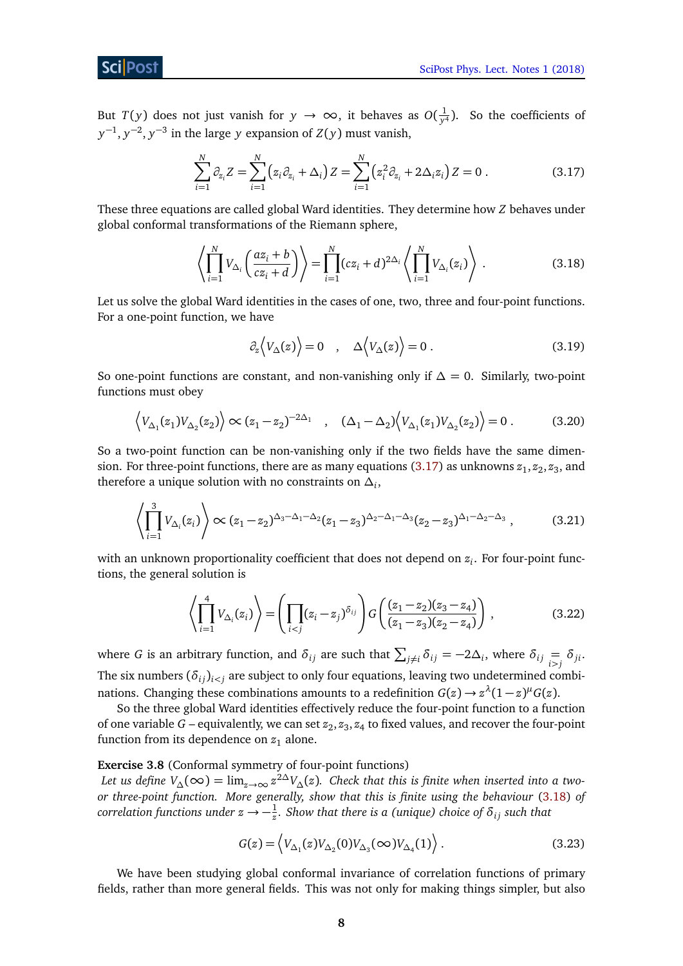# Sci Post

But *T*(*y*) does not just vanish for  $y \to \infty$ , it behaves as  $O(\frac{1}{y})$  $\frac{1}{y^4}$ ). So the coefficients of *y*<sup>−1</sup>, *y*<sup>−2</sup>, *y*<sup>−3</sup> in the large *y* expansion of *Z*(*y*) must vanish,

$$
\sum_{i=1}^{N} \partial_{z_i} Z = \sum_{i=1}^{N} (z_i \partial_{z_i} + \Delta_i) Z = \sum_{i=1}^{N} (z_i^2 \partial_{z_i} + 2\Delta_i z_i) Z = 0.
$$
 (3.17)

These three equations are called global Ward identities. They determine how *Z* behaves under global conformal transformations of the Riemann sphere,

$$
\left\langle \prod_{i=1}^{N} V_{\Delta_i} \left( \frac{az_i + b}{cz_i + d} \right) \right\rangle = \prod_{i=1}^{N} (cz_i + d)^{2\Delta_i} \left\langle \prod_{i=1}^{N} V_{\Delta_i}(z_i) \right\rangle . \tag{3.18}
$$

Let us solve the global Ward identities in the cases of one, two, three and four-point functions. For a one-point function, we have

<span id="page-7-3"></span><span id="page-7-2"></span><span id="page-7-1"></span><span id="page-7-0"></span>
$$
\partial_z \langle V_{\Delta}(z) \rangle = 0 \quad , \quad \Delta \langle V_{\Delta}(z) \rangle = 0 \; . \tag{3.19}
$$

So one-point functions are constant, and non-vanishing only if *∆* = 0. Similarly, two-point functions must obey

$$
\left\langle V_{\Delta_1}(z_1)V_{\Delta_2}(z_2)\right\rangle \propto (z_1 - z_2)^{-2\Delta_1} \quad , \quad (\Delta_1 - \Delta_2) \left\langle V_{\Delta_1}(z_1)V_{\Delta_2}(z_2)\right\rangle = 0 \ . \tag{3.20}
$$

So a two-point function can be non-vanishing only if the two fields have the same dimen-sion. For three-point functions, there are as many equations [\(3.17\)](#page-7-0) as unknowns  $z_1, z_2, z_3,$  and therefore a unique solution with no constraints on  $\Delta_i$ ,

$$
\left\langle \prod_{i=1}^{3} V_{\Delta_i}(z_i) \right\rangle \propto (z_1 - z_2)^{\Delta_3 - \Delta_1 - \Delta_2} (z_1 - z_3)^{\Delta_2 - \Delta_1 - \Delta_3} (z_2 - z_3)^{\Delta_1 - \Delta_2 - \Delta_3}, \tag{3.21}
$$

with an unknown proportionality coefficient that does not depend on *z<sup>i</sup>* . For four-point functions, the general solution is

$$
\left\langle \prod_{i=1}^{4} V_{\Delta_i}(z_i) \right\rangle = \left( \prod_{i < j} (z_i - z_j)^{\delta_{ij}} \right) G \left( \frac{(z_1 - z_2)(z_3 - z_4)}{(z_1 - z_3)(z_2 - z_4)} \right),\tag{3.22}
$$

where *G* is an arbitrary function, and  $\delta_{ij}$  are such that  $\sum_{j\neq i} \delta_{ij} = -2\Delta_i$ , where  $\delta_{ij} = \delta_{ji}$ . The six numbers  $(\delta_{ij})_{i \leq j}$  are subject to only four equations, leaving two undetermined combinations. Changing these combinations amounts to a redefinition  $G(z) \to z^{\lambda}(1-z)^{\mu}G(z)$ .

So the three global Ward identities effectively reduce the four-point function to a function of one variable  $G$  – equivalently, we can set  $z_2, z_3, z_4$  to fixed values, and recover the four-point function from its dependence on  $z_1$  alone.

## **Exercise 3.8** (Conformal symmetry of four-point functions)

 $L$ et us define  $V_\Delta(\infty)=\lim_{z\to\infty}z^{2\Delta}V_\Delta(z)$ . Check that this is finite when inserted into a two*or three-point function. More generally, show that this is finite using the behaviour* [\(3.18\)](#page-7-1) *of*  $\,$  *correlation functions under*  $z \rightarrow -\frac{1}{z}.$  *Show that there is a (unique) choice of*  $\delta_{ij}$  *such that* 

$$
G(z) = \left\langle V_{\Delta_1}(z)V_{\Delta_2}(0)V_{\Delta_3}(\infty)V_{\Delta_4}(1)\right\rangle.
$$
 (3.23)

We have been studying global conformal invariance of correlation functions of primary fields, rather than more general fields. This was not only for making things simpler, but also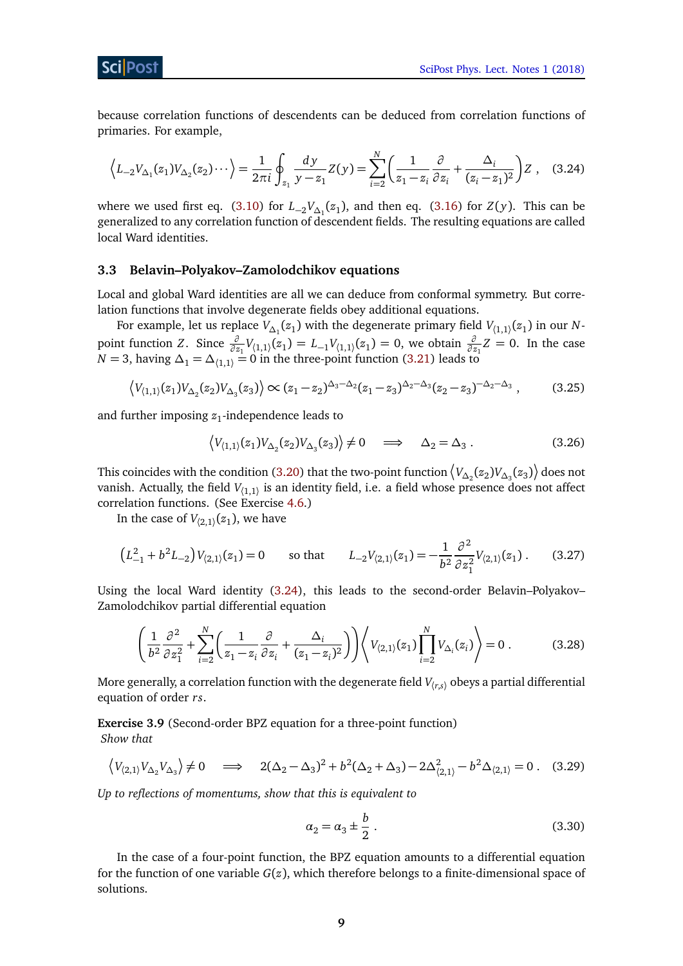

because correlation functions of descendents can be deduced from correlation functions of primaries. For example,

<span id="page-8-1"></span>
$$
\left\langle L_{-2}V_{\Delta_1}(z_1)V_{\Delta_2}(z_2)\cdots \right\rangle = \frac{1}{2\pi i} \oint_{z_1} \frac{dy}{y - z_1} Z(y) = \sum_{i=2}^N \left( \frac{1}{z_1 - z_i} \frac{\partial}{\partial z_i} + \frac{\Delta_i}{(z_i - z_1)^2} \right) Z \tag{3.24}
$$

where we used first eq.  $(3.10)$  for  $L_{-2}V_{\Delta_1}(z_1)$ , and then eq.  $(3.16)$  for  $Z(y)$ . This can be generalized to any correlation function of descendent fields. The resulting equations are called local Ward identities.

# <span id="page-8-0"></span>**3.3 Belavin–Polyakov–Zamolodchikov equations**

Local and global Ward identities are all we can deduce from conformal symmetry. But correlation functions that involve degenerate fields obey additional equations.

For example, let us replace  $V_{\Delta_1}(z_1)$  with the degenerate primary field  $V_{\langle 1,1\rangle}(z_1)$  in our  $N$ point function *Z*. Since  $\frac{\partial}{\partial z_1}V_{(1,1)}(z_1) = L_{-1}V_{(1,1)}(z_1) = 0$ , we obtain  $\frac{\partial}{\partial z_1}Z = 0$ . In the case *N* = 3, having  $\Delta_1$  =  $\Delta_{\langle 1,1\rangle}$  = 0 in the three-point function [\(3.21\)](#page-7-2) leads to

$$
\left\langle V_{(1,1)}(z_1)V_{\Delta_2}(z_2)V_{\Delta_3}(z_3)\right\rangle \propto (z_1-z_2)^{\Delta_3-\Delta_2}(z_1-z_3)^{\Delta_2-\Delta_3}(z_2-z_3)^{-\Delta_2-\Delta_3},\tag{3.25}
$$

and further imposing *z*<sup>1</sup> -independence leads to

<span id="page-8-2"></span>
$$
\langle V_{\langle 1,1\rangle}(z_1)V_{\Delta_2}(z_2)V_{\Delta_3}(z_3)\rangle \neq 0 \quad \Longrightarrow \quad \Delta_2 = \Delta_3. \tag{3.26}
$$

This coincides with the condition [\(3.20\)](#page-7-3) that the two-point function  $\left\langle V_{\Delta_2}(z_2)V_{\Delta_3}(z_3)\right\rangle$  does not vanish. Actually, the field  $V_{\langle 1,1\rangle}$  is an identity field, i.e. a field whose presence does not affect correlation functions. (See Exercise [4.6.](#page-10-1))

In the case of  $V_{\langle 2,1\rangle}(z_1)$ , we have

$$
\left(L_{-1}^2 + b^2 L_{-2}\right) V_{(2,1)}(z_1) = 0 \qquad \text{so that} \qquad L_{-2} V_{(2,1)}(z_1) = -\frac{1}{b^2} \frac{\partial^2}{\partial z_1^2} V_{(2,1)}(z_1) \,. \tag{3.27}
$$

Using the local Ward identity [\(3.24\)](#page-8-1), this leads to the second-order Belavin–Polyakov– Zamolodchikov partial differential equation

$$
\left(\frac{1}{b^2}\frac{\partial^2}{\partial z_1^2} + \sum_{i=2}^N \left(\frac{1}{z_1 - z_i}\frac{\partial}{\partial z_i} + \frac{\Delta_i}{(z_1 - z_i)^2}\right)\right) \left\langle V_{(2,1)}(z_1) \prod_{i=2}^N V_{\Delta_i}(z_i) \right\rangle = 0. \tag{3.28}
$$

More generally, a correlation function with the degenerate field  $V_{(r,s)}$  obeys a partial differential equation of order *rs*.

**Exercise 3.9** (Second-order BPZ equation for a three-point function) *Show that*

$$
\left\langle V_{(2,1)} V_{\Delta_2} V_{\Delta_3} \right\rangle \neq 0 \quad \implies \quad 2(\Delta_2 - \Delta_3)^2 + b^2 (\Delta_2 + \Delta_3) - 2\Delta_{(2,1)}^2 - b^2 \Delta_{(2,1)} = 0 \tag{3.29}
$$

*Up to reflections of momentums, show that this is equivalent to*

<span id="page-8-3"></span>
$$
\alpha_2 = \alpha_3 \pm \frac{b}{2} \,. \tag{3.30}
$$

In the case of a four-point function, the BPZ equation amounts to a differential equation for the function of one variable *G*(*z*), which therefore belongs to a finite-dimensional space of solutions.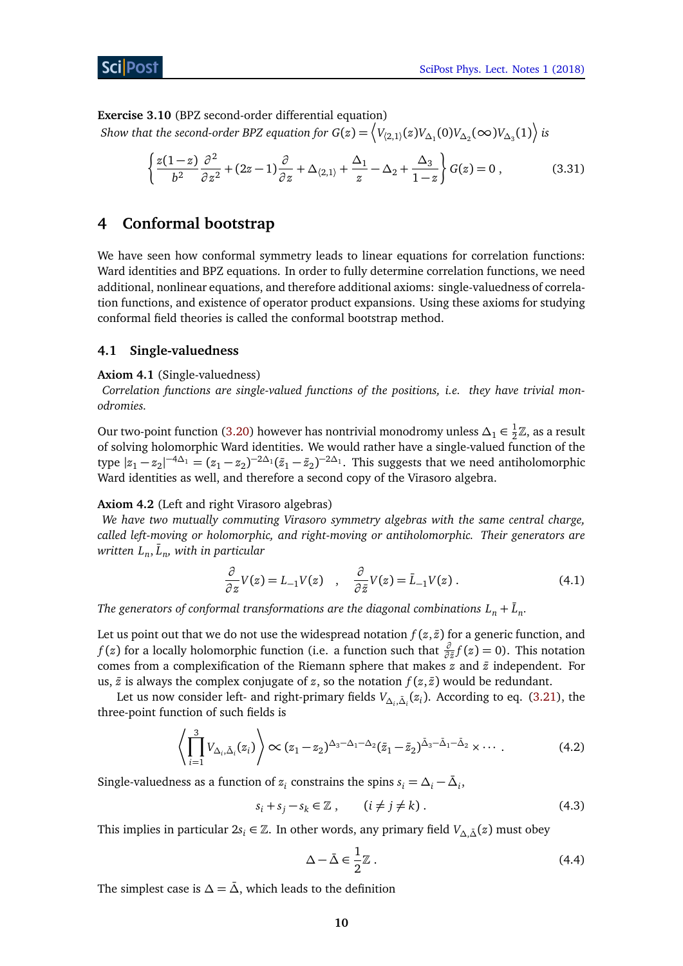

**Exercise 3.10** (BPZ second-order differential equation)

 $Show$  that the second-order BPZ equation for  $G(z)=\left\langle V_{(2,1)}(z)V_{\Delta_1}(0)V_{\Delta_2}(\infty)V_{\Delta_3}(1)\right\rangle$  is

<span id="page-9-3"></span>
$$
\left\{\frac{z(1-z)}{b^2}\frac{\partial^2}{\partial z^2} + (2z-1)\frac{\partial}{\partial z} + \Delta_{\langle 2,1\rangle} + \frac{\Delta_1}{z} - \Delta_2 + \frac{\Delta_3}{1-z}\right\} G(z) = 0 ,\qquad (3.31)
$$

# <span id="page-9-0"></span>**4 Conformal bootstrap**

We have seen how conformal symmetry leads to linear equations for correlation functions: Ward identities and BPZ equations. In order to fully determine correlation functions, we need additional, nonlinear equations, and therefore additional axioms: single-valuedness of correlation functions, and existence of operator product expansions. Using these axioms for studying conformal field theories is called the conformal bootstrap method.

# <span id="page-9-1"></span>**4.1 Single-valuedness**

## **Axiom 4.1** (Single-valuedness)

*Correlation functions are single-valued functions of the positions, i.e. they have trivial monodromies.*

Our two-point function [\(3.20\)](#page-7-3) however has nontrivial monodromy unless  $\Delta_1 \in \frac{1}{2}\mathbb{Z}$ , as a result of solving holomorphic Ward identities. We would rather have a single-valued function of the type  $|z_1 - z_2|^{-4\Delta_1} = (z_1 - z_2)^{-2\Delta_1} (\bar{z}_1 - \bar{z}_2)^{-2\Delta_1}$ . This suggests that we need antiholomorphic Ward identities as well, and therefore a second copy of the Virasoro algebra.

## **Axiom 4.2** (Left and right Virasoro algebras)

*We have two mutually commuting Virasoro symmetry algebras with the same central charge, called left-moving or holomorphic, and right-moving or antiholomorphic. Their generators are*  $w$ ritten  $L_n, {\bar L}_n,$  with in particular

$$
\frac{\partial}{\partial z}V(z) = L_{-1}V(z) \quad , \quad \frac{\partial}{\partial \bar{z}}V(z) = \bar{L}_{-1}V(z) \,. \tag{4.1}
$$

*The generators of conformal transformations are the diagonal combinations*  $L_n + \bar{L}_n$ *.* 

Let us point out that we do not use the widespread notation  $f(z, \bar{z})$  for a generic function, and *f* (*z*) for a locally holomorphic function (i.e. a function such that  $\frac{\partial}{\partial \bar{z}} f(z) = 0$ ). This notation comes from a complexification of the Riemann sphere that makes  $z$  and  $\bar{z}$  independent. For us,  $\bar{z}$  is always the complex conjugate of *z*, so the notation  $f(z, \bar{z})$  would be redundant.

Let us now consider left- and right-primary fields  $V_{\Delta_i, \bar{\Delta}_i}(z_i)$ . According to eq. [\(3.21\)](#page-7-2), the three-point function of such fields is

$$
\left\langle \prod_{i=1}^{3} V_{\Delta_i, \bar{\Delta}_i}(z_i) \right\rangle \propto (z_1 - z_2)^{\Delta_3 - \Delta_1 - \Delta_2} (\bar{z}_1 - \bar{z}_2)^{\bar{\Delta}_3 - \bar{\Delta}_1 - \bar{\Delta}_2} \times \cdots \,. \tag{4.2}
$$

Single-valuedness as a function of  $z_i$  constrains the spins  $s_i = \Delta_i - \bar{\Delta}_i$ ,

$$
s_i + s_j - s_k \in \mathbb{Z} \;, \qquad (i \neq j \neq k) \;.
$$

This implies in particular  $2s_i \in \mathbb{Z}$ . In other words, any primary field  $V_{\Delta,\bar{\Delta}}(z)$  must obey

<span id="page-9-2"></span>
$$
\Delta - \bar{\Delta} \in \frac{1}{2}\mathbb{Z} \ . \tag{4.4}
$$

The simplest case is  $\Delta = \bar{\Delta}$ , which leads to the definition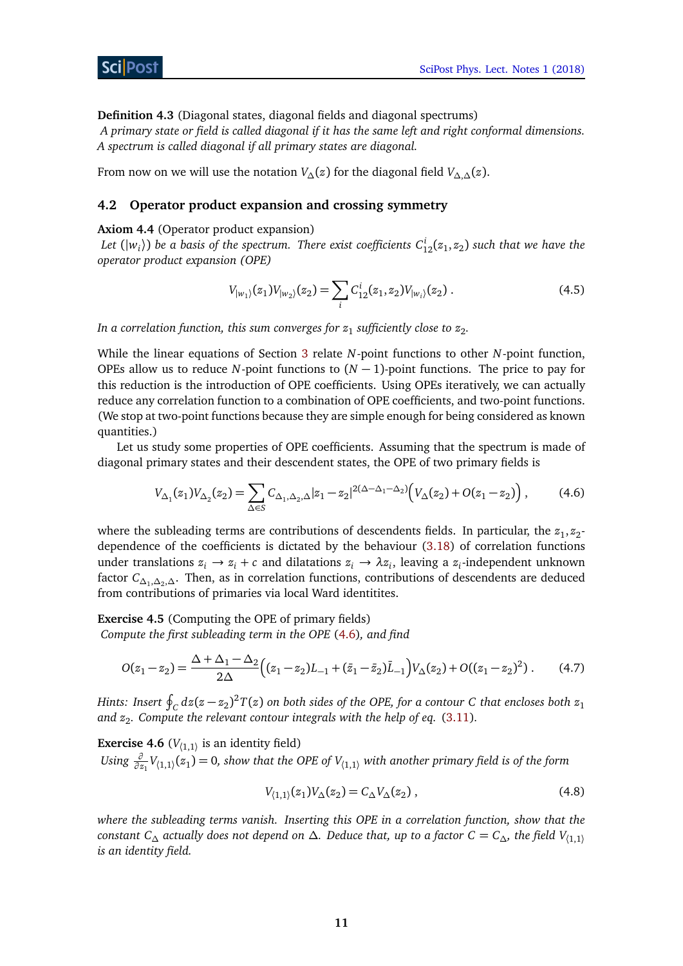**Definition 4.3** (Diagonal states, diagonal fields and diagonal spectrums)

*A primary state or field is called diagonal if it has the same left and right conformal dimensions. A spectrum is called diagonal if all primary states are diagonal.*

From now on we will use the notation *V*<sub>∆</sub>(*z*) for the diagonal field *V*<sub>∆,∆</sub>(*z*).

## <span id="page-10-0"></span>**4.2 Operator product expansion and crossing symmetry**

#### <span id="page-10-3"></span>**Axiom 4.4** (Operator product expansion)

Let  $(|w_i\rangle)$  be a basis of the spectrum. There exist coefficients  $C_{12}^i(z_1,z_2)$  such that we have the *operator product expansion (OPE)*

<span id="page-10-2"></span>
$$
V_{|w_1|}(z_1)V_{|w_2|}(z_2) = \sum_i C_{12}^i(z_1, z_2)V_{|w_i|}(z_2).
$$
 (4.5)

In a correlation function, this sum converges for  $z_1$  sufficiently close to  $z_2.$ 

While the linear equations of Section [3](#page-4-0) relate *N*-point functions to other *N*-point function, OPEs allow us to reduce *N*-point functions to  $(N - 1)$ -point functions. The price to pay for this reduction is the introduction of OPE coefficients. Using OPEs iteratively, we can actually reduce any correlation function to a combination of OPE coefficients, and two-point functions. (We stop at two-point functions because they are simple enough for being considered as known quantities.)

Let us study some properties of OPE coefficients. Assuming that the spectrum is made of diagonal primary states and their descendent states, the OPE of two primary fields is

$$
V_{\Delta_1}(z_1)V_{\Delta_2}(z_2) = \sum_{\Delta \in S} C_{\Delta_1, \Delta_2, \Delta} |z_1 - z_2|^{2(\Delta - \Delta_1 - \Delta_2)} \Big( V_{\Delta}(z_2) + O(z_1 - z_2) \Big) ,\tag{4.6}
$$

where the subleading terms are contributions of descendents fields. In particular, the  $z_1, z_2$ dependence of the coefficients is dictated by the behaviour [\(3.18\)](#page-7-1) of correlation functions under translations  $z_i \to z_i + c$  and dilatations  $z_i \to \lambda z_i$ , leaving a  $z_i$ -independent unknown factor *C∆*<sup>1</sup> ,*∆*<sup>2</sup> ,*∆*. Then, as in correlation functions, contributions of descendents are deduced from contributions of primaries via local Ward identitites.

**Exercise 4.5** (Computing the OPE of primary fields)

*Compute the first subleading term in the OPE* [\(4.6\)](#page-10-2)*, and find*

$$
O(z_1 - z_2) = \frac{\Delta + \Delta_1 - \Delta_2}{2\Delta} \Big( (z_1 - z_2)L_{-1} + (\bar{z}_1 - \bar{z}_2)\bar{L}_{-1} \Big) V_{\Delta}(z_2) + O((z_1 - z_2)^2).
$$
 (4.7)

*Hints: Insert*  $\oint_C dz (z - z_2)^2 T(z)$  *on both sides of the OPE, for a contour C that encloses both*  $z_1$ *and z*<sup>2</sup> *. Compute the relevant contour integrals with the help of eq.* [\(3.11\)](#page-6-1)*.*

<span id="page-10-1"></span>**Exercise 4.6** ( $V_{(1,1)}$  is an identity field)  $U \sin g \frac{\partial}{\partial z_1} V_{(1,1)}(z_1) = 0$ , show that the OPE of  $V_{(1,1)}$  with another primary field is of the form

$$
V_{(1,1)}(z_1)V_{\Delta}(z_2) = C_{\Delta}V_{\Delta}(z_2) , \qquad (4.8)
$$

*where the subleading terms vanish. Inserting this OPE in a correlation function, show that the constant*  $C_\Delta$  *actually does not depend on*  $\Delta$ *. Deduce that, up to a factor*  $C = C_\Delta$ *, the field*  $V_{(1,1)}$ *is an identity field.*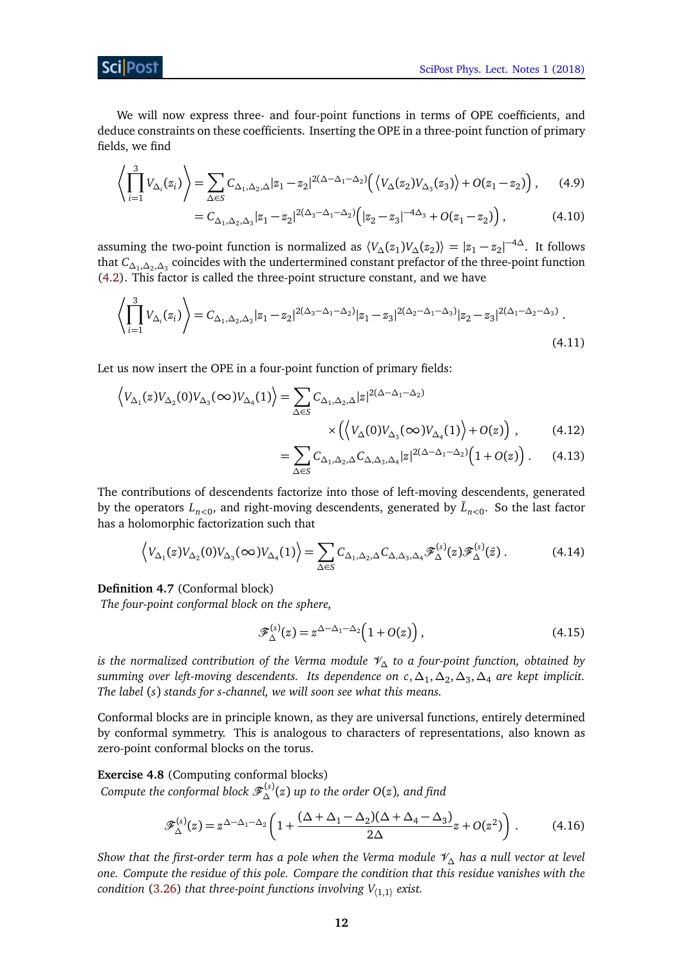We will now express three- and four-point functions in terms of OPE coefficients, and deduce constraints on these coefficients. Inserting the OPE in a three-point function of primary fields, we find

$$
\left\langle \prod_{i=1}^{3} V_{\Delta_i}(z_i) \right\rangle = \sum_{\Delta \in S} C_{\Delta_1, \Delta_2, \Delta} |z_1 - z_2|^{2(\Delta - \Delta_1 - \Delta_2)} \left( \left\langle V_{\Delta}(z_2) V_{\Delta_3}(z_3) \right\rangle + O(z_1 - z_2) \right), \tag{4.9}
$$

$$
=C_{\Delta_1,\Delta_2,\Delta_3}|z_1-z_2|^{2(\Delta_3-\Delta_1-\Delta_2)}\Big(|z_2-z_3|^{-4\Delta_3}+O(z_1-z_2)\Big),\tag{4.10}
$$

assuming the two-point function is normalized as  $\langle V_\Delta(z_1)V_\Delta(z_2)\rangle = |z_1-z_2|^{-4\Delta}$ . It follows that *C∆*<sup>1</sup> ,*∆*<sup>2</sup> ,*∆*<sup>3</sup> coincides with the undertermined constant prefactor of the three-point function [\(4.2\)](#page-9-2). This factor is called the three-point structure constant, and we have

$$
\left\langle \prod_{i=1}^{3} V_{\Delta_i}(z_i) \right\rangle = C_{\Delta_1, \Delta_2, \Delta_3} |z_1 - z_2|^{2(\Delta_3 - \Delta_1 - \Delta_2)} |z_1 - z_3|^{2(\Delta_2 - \Delta_1 - \Delta_3)} |z_2 - z_3|^{2(\Delta_1 - \Delta_2 - \Delta_3)}.
$$
\n(4.11)

Let us now insert the OPE in a four-point function of primary fields:

$$
\langle V_{\Delta_1}(z)V_{\Delta_2}(0)V_{\Delta_3}(\infty)V_{\Delta_4}(1)\rangle = \sum_{\Delta\in S} C_{\Delta_1,\Delta_2,\Delta} |z|^{2(\Delta-\Delta_1-\Delta_2)} \times \left(\langle V_{\Delta}(0)V_{\Delta_3}(\infty)V_{\Delta_4}(1)\rangle + O(z)\right),\tag{4.12}
$$

<span id="page-11-0"></span>
$$
=\sum_{\Delta\in S}C_{\Delta_1,\Delta_2,\Delta}C_{\Delta,\Delta_3,\Delta_4}|z|^{2(\Delta-\Delta_1-\Delta_2)}\Big(1+O(z)\Big). \qquad (4.13)
$$

The contributions of descendents factorize into those of left-moving descendents, generated by the operators  $L_{n<0}$ , and right-moving descendents, generated by  $\bar{L}_{n<0}$ . So the last factor has a holomorphic factorization such that

$$
\left\langle V_{\Delta_1}(z)V_{\Delta_2}(0)V_{\Delta_3}(\infty)V_{\Delta_4}(1)\right\rangle = \sum_{\Delta\in S} C_{\Delta_1,\Delta_2,\Delta} C_{\Delta,\Delta_3,\Delta_4} \mathcal{F}_{\Delta}^{(s)}(z)\mathcal{F}_{\Delta}^{(s)}(\bar{z})\,. \tag{4.14}
$$

#### **Definition 4.7** (Conformal block)

*The four-point conformal block on the sphere,*

<span id="page-11-1"></span>
$$
\mathscr{F}_{\Delta}^{(s)}(z) = z^{\Delta - \Delta_1 - \Delta_2} \Big( 1 + O(z) \Big) , \tag{4.15}
$$

*is the normalized contribution of the Verma module* V*<sup>∆</sup> to a four-point function, obtained by summing over left-moving descendents. Its dependence on c*,*∆*<sup>1</sup> ,*∆*<sup>2</sup> ,*∆*<sup>3</sup> ,*∆*<sup>4</sup> *are kept implicit. The label* (*s*) *stands for s-channel, we will soon see what this means.*

Conformal blocks are in principle known, as they are universal functions, entirely determined by conformal symmetry. This is analogous to characters of representations, also known as zero-point conformal blocks on the torus.

# **Exercise 4.8** (Computing conformal blocks)

 $\mathcal{L}_{\Delta}$  *Compute the conformal block*  $\mathscr{F}_{\Delta}^{(s)}(z)$  *up to the order O(z), and find* 

$$
\mathscr{F}_{\Delta}^{(s)}(z) = z^{\Delta - \Delta_1 - \Delta_2} \left( 1 + \frac{(\Delta + \Delta_1 - \Delta_2)(\Delta + \Delta_4 - \Delta_3)}{2\Delta} z + O(z^2) \right). \tag{4.16}
$$

*Show that the first-order term has a pole when the Verma module* V*<sup>∆</sup> has a null vector at level one. Compute the residue of this pole. Compare the condition that this residue vanishes with the condition* [\(3.26\)](#page-8-2) *that three-point functions involving V*〈1,1〉 *exist.*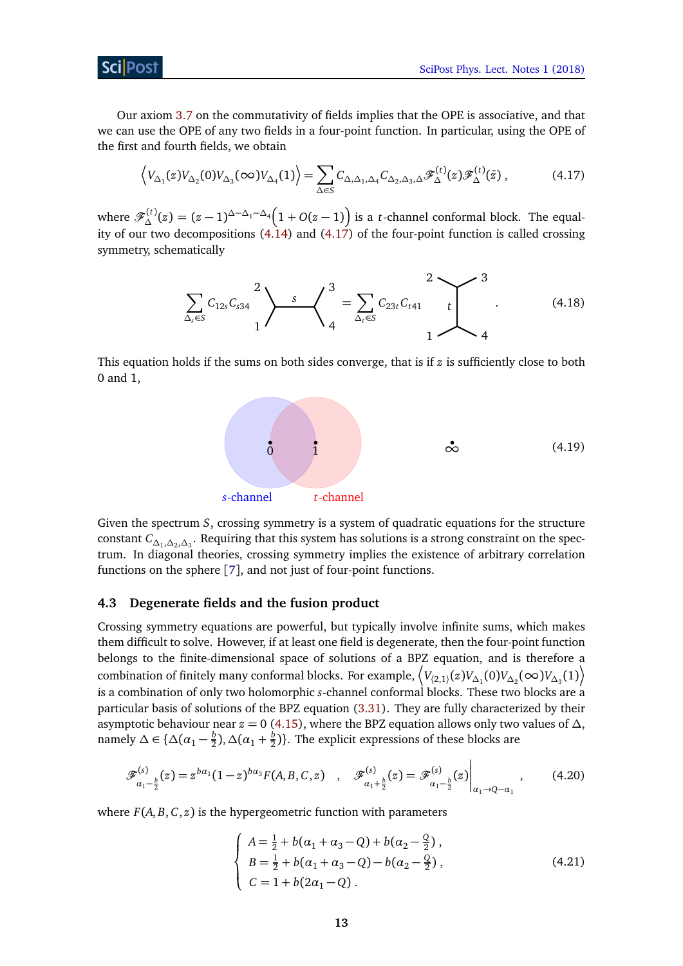Our axiom [3.7](#page-6-3) on the commutativity of fields implies that the OPE is associative, and that we can use the OPE of any two fields in a four-point function. In particular, using the OPE of the first and fourth fields, we obtain

$$
\left\langle V_{\Delta_1}(z)V_{\Delta_2}(0)V_{\Delta_3}(\infty)V_{\Delta_4}(1)\right\rangle = \sum_{\Delta\in S} C_{\Delta,\Delta_1,\Delta_4} C_{\Delta_2,\Delta_3,\Delta} \mathcal{F}_{\Delta}^{(t)}(z)\mathcal{F}_{\Delta}^{(t)}(\bar{z})\,,\tag{4.17}
$$

where  $\mathscr{F}_{\Delta}^{(t)}(z) = (z-1)^{\Delta-\Delta_1-\Delta_4} \Big(1+O(z-1)\Big)$  is a *t*-channel conformal block. The equality of our two decompositions [\(4.14\)](#page-11-0) and [\(4.17\)](#page-12-1) of the four-point function is called crossing symmetry, schematically

<span id="page-12-1"></span>
$$
\sum_{\Delta_s \in S} C_{12s} C_{s34} \bigg|^2 \bigg\rbrace \longrightarrow \bigg\{ \bigg]^3 = \sum_{\Delta_t \in S} C_{23t} C_{t41} \bigg|^2 \bigg\} \bigg]^3 \tag{4.18}
$$

This equation holds if the sums on both sides converge, that is if *z* is sufficiently close to both 0 and 1,



Given the spectrum *S*, crossing symmetry is a system of quadratic equations for the structure constant *C∆*<sup>1</sup> ,*∆*<sup>2</sup> ,*∆*<sup>3</sup> . Requiring that this system has solutions is a strong constraint on the spectrum. In diagonal theories, crossing symmetry implies the existence of arbitrary correlation functions on the sphere [[7](#page-22-6)], and not just of four-point functions.

## <span id="page-12-0"></span>**4.3 Degenerate fields and the fusion product**

Crossing symmetry equations are powerful, but typically involve infinite sums, which makes them difficult to solve. However, if at least one field is degenerate, then the four-point function belongs to the finite-dimensional space of solutions of a BPZ equation, and is therefore a  $\big\{V_{(2,1)}(z)V_{\Delta_1}(0)V_{\Delta_2}(\infty)V_{\Delta_3}(1)\big\}$ is a combination of only two holomorphic *s*-channel conformal blocks. These two blocks are a particular basis of solutions of the BPZ equation [\(3.31\)](#page-9-3). They are fully characterized by their asymptotic behaviour near  $z = 0$  [\(4.15\)](#page-11-1), where the BPZ equation allows only two values of  $\Delta$ , namely  $\Delta \in \{ \Delta (\alpha_1 - \frac{b}{2})$  $\frac{b}{2}$ ),  $\Delta$ ( $\alpha_1 + \frac{b}{2}$  $\frac{b}{2}$ )}. The explicit expressions of these blocks are

$$
\mathscr{F}_{\alpha_1-\frac{b}{2}}^{(s)}(z) = z^{b\alpha_1}(1-z)^{b\alpha_3}F(A,B,C,z) \quad , \quad \mathscr{F}_{\alpha_1+\frac{b}{2}}^{(s)}(z) = \mathscr{F}_{\alpha_1-\frac{b}{2}}^{(s)}(z) \Big|_{\alpha_1 \to Q - \alpha_1} \quad , \tag{4.20}
$$

where  $F(A, B, C, z)$  is the hypergeometric function with parameters

<span id="page-12-3"></span><span id="page-12-2"></span>
$$
\begin{cases}\nA = \frac{1}{2} + b(\alpha_1 + \alpha_3 - Q) + b(\alpha_2 - \frac{Q}{2}), \\
B = \frac{1}{2} + b(\alpha_1 + \alpha_3 - Q) - b(\alpha_2 - \frac{Q}{2}), \\
C = 1 + b(2\alpha_1 - Q).\n\end{cases}
$$
\n(4.21)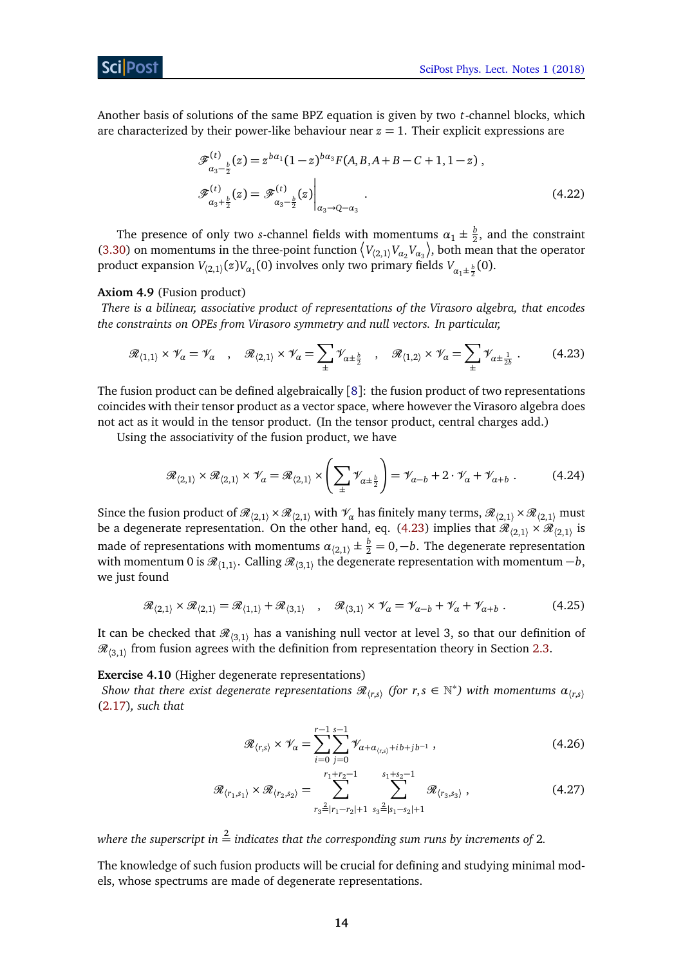<span id="page-13-1"></span>[SciPost Phys. Lect. Notes 1 \(2018\)](https://scipost.org/SciPostPhysLectNotes.1)

Another basis of solutions of the same BPZ equation is given by two *t*-channel blocks, which are characterized by their power-like behaviour near  $z = 1$ . Their explicit expressions are

$$
\mathcal{F}_{\alpha_3-\frac{b}{2}}^{(t)}(z) = z^{b\alpha_1}(1-z)^{b\alpha_3} F(A, B, A+B-C+1, 1-z) ,
$$
  

$$
\mathcal{F}_{\alpha_3+\frac{b}{2}}^{(t)}(z) = \mathcal{F}_{\alpha_3-\frac{b}{2}}^{(t)}(z) \Big|_{\alpha_3 \to Q-\alpha_3} .
$$
 (4.22)

The presence of only two *s*-channel fields with momentums  $\alpha_1 \pm \frac{b}{2}$  $\frac{b}{2}$ , and the constraint [\(3.30\)](#page-8-3) on momentums in the three-point function  $\langle V_{(2,1)} V_{\alpha_2} V_{\alpha_3} \rangle$ , both mean that the operator product expansion  $V_{\langle 2,1\rangle}(z) V_{\alpha_1}(0)$  involves only two primary fields  $V_{\alpha_1\pm\frac{b}{2}}(0)$ .

#### **Axiom 4.9** (Fusion product)

*There is a bilinear, associative product of representations of the Virasoro algebra, that encodes the constraints on OPEs from Virasoro symmetry and null vectors. In particular,*

$$
\mathcal{R}_{\langle 1,1\rangle} \times \mathcal{V}_{\alpha} = \mathcal{V}_{\alpha} \quad , \quad \mathcal{R}_{\langle 2,1\rangle} \times \mathcal{V}_{\alpha} = \sum_{\pm} \mathcal{V}_{\alpha \pm \frac{b}{2}} \quad , \quad \mathcal{R}_{\langle 1,2\rangle} \times \mathcal{V}_{\alpha} = \sum_{\pm} \mathcal{V}_{\alpha \pm \frac{1}{2b}} \; . \tag{4.23}
$$

The fusion product can be defined algebraically  $[8]$  $[8]$  $[8]$ : the fusion product of two representations coincides with their tensor product as a vector space, where however the Virasoro algebra does not act as it would in the tensor product. (In the tensor product, central charges add.)

Using the associativity of the fusion product, we have

$$
\mathcal{R}_{\langle 2,1\rangle} \times \mathcal{R}_{\langle 2,1\rangle} \times \mathcal{V}_{\alpha} = \mathcal{R}_{\langle 2,1\rangle} \times \left(\sum_{\pm} \mathcal{V}_{\alpha \pm \frac{b}{2}}\right) = \mathcal{V}_{\alpha-b} + 2 \cdot \mathcal{V}_{\alpha} + \mathcal{V}_{\alpha+b} \ . \tag{4.24}
$$

Since the fusion product of  $\mathcal{R}_{(2,1)} \times \mathcal{R}_{(2,1)}$  with  $\mathcal{V}_\alpha$  has finitely many terms,  $\mathcal{R}_{(2,1)} \times \mathcal{R}_{(2,1)}$  must be a degenerate representation. On the other hand, eq. [\(4.23\)](#page-13-1) implies that  $\mathscr{R}_{(2,1)}\times \mathscr{R}_{(2,1)}$  is made of representations with momentums  $\alpha_{\langle 2,1\rangle} \pm \frac{b}{2} = 0, -b$ . The degenerate representation with momentum 0 is  ${\mathscr R}_{\langle 1,1\rangle}.$  Calling  ${\mathscr R}_{\langle 3,1\rangle}$  the degenerate representation with momentum  $-b,$ we just found

$$
\mathcal{R}_{\langle 2,1\rangle} \times \mathcal{R}_{\langle 2,1\rangle} = \mathcal{R}_{\langle 1,1\rangle} + \mathcal{R}_{\langle 3,1\rangle} , \quad \mathcal{R}_{\langle 3,1\rangle} \times \mathcal{V}_{\alpha} = \mathcal{V}_{\alpha-b} + \mathcal{V}_{\alpha} + \mathcal{V}_{\alpha+b} . \tag{4.25}
$$

It can be checked that  $\mathcal{R}_{(3,1)}$  has a vanishing null vector at level 3, so that our definition of  $\mathcal{R}_{(3,1)}$  from fusion agrees with the definition from representation theory in Section [2.3.](#page-3-0)

<span id="page-13-0"></span>**Exercise 4.10** (Higher degenerate representations)

*Show that there exist degenerate representations*  $\mathcal{R}_{(r,s)}$  *(for*  $r,s \in \mathbb{N}^*$ *) with momentums*  $\alpha_{(r,s)}$ [\(2.17\)](#page-4-1)*, such that*

$$
\mathcal{R}_{\langle r,s \rangle} \times \mathcal{V}_{\alpha} = \sum_{i=0}^{r-1} \sum_{j=0}^{s-1} \mathcal{V}_{\alpha + \alpha_{\langle r,s \rangle} + ib + jb^{-1}}, \qquad (4.26)
$$

$$
\mathcal{R}_{\langle r_1, s_1 \rangle} \times \mathcal{R}_{\langle r_2, s_2 \rangle} = \sum_{r_3 = |r_1 - r_2| + 1}^{r_1 + r_2 - 1} \sum_{s_3 = |s_1 - s_2| + 1}^{s_1 + s_2 - 1} \mathcal{R}_{\langle r_3, s_3 \rangle}, \qquad (4.27)
$$

where the superscript in  $\overset{2}{=}$  indicates that the corresponding sum runs by increments of 2.

The knowledge of such fusion products will be crucial for defining and studying minimal models, whose spectrums are made of degenerate representations.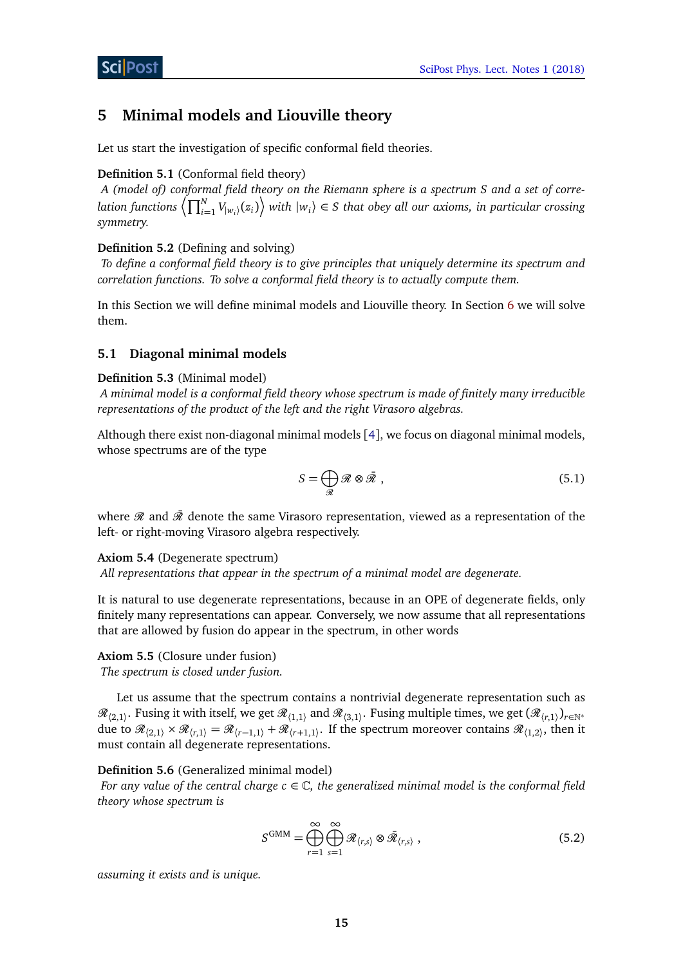# <span id="page-14-0"></span>**5 Minimal models and Liouville theory**

Let us start the investigation of specific conformal field theories.

# **Definition 5.1** (Conformal field theory)

*A (model of) conformal field theory on the Riemann sphere is a spectrum S and a set of corre* $l$ ation functions  $\left<\prod_{i=1}^N V_{|w_i\rangle}(z_i)\right>$  with  $|w_i\rangle \in S$  that obey all our axioms, in particular crossing *symmetry.*

# **Definition 5.2** (Defining and solving)

*To define a conformal field theory is to give principles that uniquely determine its spectrum and correlation functions. To solve a conformal field theory is to actually compute them.*

In this Section we will define minimal models and Liouville theory. In Section [6](#page-17-0) we will solve them.

# <span id="page-14-1"></span>**5.1 Diagonal minimal models**

# **Definition 5.3** (Minimal model)

*A minimal model is a conformal field theory whose spectrum is made of finitely many irreducible representations of the product of the left and the right Virasoro algebras.*

Although there exist non-diagonal minimal models [[4](#page-22-3)], we focus on diagonal minimal models, whose spectrums are of the type

$$
S = \bigoplus_{\mathcal{R}} \mathcal{R} \otimes \bar{\mathcal{R}} \tag{5.1}
$$

where  $\mathcal R$  and  $\bar{\mathcal R}$  denote the same Virasoro representation, viewed as a representation of the left- or right-moving Virasoro algebra respectively.

## **Axiom 5.4** (Degenerate spectrum)

*All representations that appear in the spectrum of a minimal model are degenerate.*

It is natural to use degenerate representations, because in an OPE of degenerate fields, only finitely many representations can appear. Conversely, we now assume that all representations that are allowed by fusion do appear in the spectrum, in other words

# **Axiom 5.5** (Closure under fusion)

*The spectrum is closed under fusion.*

Let us assume that the spectrum contains a nontrivial degenerate representation such as  $\mathscr{R}_{(2,1)}$ . Fusing it with itself, we get  $\mathscr{R}_{(1,1)}$  and  $\mathscr{R}_{(3,1)}$ . Fusing multiple times, we get  $(\mathscr{R}_{(r,1)})_{r\in\mathbb{N}^*}$ due to  $\mathcal{R}_{\langle 2,1\rangle} \times \mathcal{R}_{\langle r,1\rangle} = \mathcal{R}_{\langle r-1,1\rangle} + \mathcal{R}_{\langle r+1,1\rangle}$ . If the spectrum moreover contains  $\mathcal{R}_{\langle 1,2\rangle}$ , then it must contain all degenerate representations.

# **Definition 5.6** (Generalized minimal model)

*For any value of the central charge c* ∈ C*, the generalized minimal model is the conformal field theory whose spectrum is*

$$
S^{\text{GMM}} = \bigoplus_{r=1}^{\infty} \bigoplus_{s=1}^{\infty} \mathcal{R}_{\langle r,s \rangle} \otimes \bar{\mathcal{R}}_{\langle r,s \rangle} , \qquad (5.2)
$$

*assuming it exists and is unique.*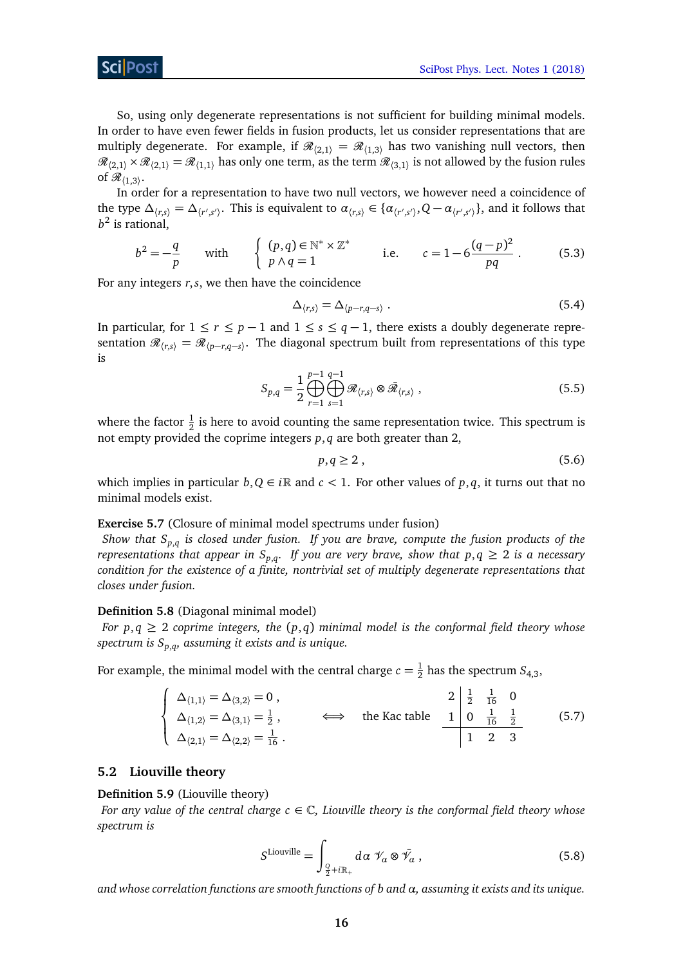So, using only degenerate representations is not sufficient for building minimal models. In order to have even fewer fields in fusion products, let us consider representations that are multiply degenerate. For example, if  $\mathcal{R}_{(2,1)} = \mathcal{R}_{(1,3)}$  has two vanishing null vectors, then  $\mathscr{R}_{(2,1)} \times \mathscr{R}_{(2,1)} = \mathscr{R}_{(1,1)}$  has only one term, as the term  $\mathscr{R}_{(3,1)}$  is not allowed by the fusion rules of  $\mathscr{R}_{\langle 1,3\rangle}$ .

In order for a representation to have two null vectors, we however need a coincidence of the type  $\Delta_{\langle r,s\rangle} = \Delta_{\langle r',s'\rangle}$ . This is equivalent to  $\alpha_{\langle r,s\rangle} \in \{\alpha_{\langle r',s'\rangle}, Q - \alpha_{\langle r',s'\rangle}\}\$ , and it follows that *b* 2 is rational,

$$
b^{2} = -\frac{q}{p} \quad \text{with} \quad \begin{cases} (p,q) \in \mathbb{N}^{*} \times \mathbb{Z}^{*} \\ p \wedge q = 1 \end{cases} \quad \text{i.e.} \quad c = 1 - 6\frac{(q-p)^{2}}{pq}. \quad (5.3)
$$

For any integers *r*,*s*, we then have the coincidence

<span id="page-15-3"></span>
$$
\Delta_{\langle r,s\rangle} = \Delta_{\langle p-r,q-s\rangle} . \tag{5.4}
$$

In particular, for  $1 \le r \le p - 1$  and  $1 \le s \le q - 1$ , there exists a doubly degenerate representation  $\mathcal{R}_{\langle r,s\rangle} = \mathcal{R}_{\langle p-r,q-s\rangle}$ . The diagonal spectrum built from representations of this type is

$$
S_{p,q} = \frac{1}{2} \bigoplus_{r=1}^{p-1} \bigoplus_{s=1}^{q-1} \mathcal{R}_{\langle r,s \rangle} \otimes \bar{\mathcal{R}}_{\langle r,s \rangle} , \qquad (5.5)
$$

where the factor  $\frac{1}{2}$  is here to avoid counting the same representation twice. This spectrum is not empty provided the coprime integers *p*, *q* are both greater than 2,

$$
p, q \ge 2 \tag{5.6}
$$

which implies in particular  $b, Q \in i\mathbb{R}$  and  $c < 1$ . For other values of  $p, q$ , it turns out that no minimal models exist.

# **Exercise 5.7** (Closure of minimal model spectrums under fusion)

*Show that Sp*,*<sup>q</sup> is closed under fusion. If you are brave, compute the fusion products of the representations that appear in*  $S_{p,q}$ *. If you are very brave, show that*  $p,q \geq 2$  *is a necessary condition for the existence of a finite, nontrivial set of multiply degenerate representations that closes under fusion.*

## **Definition 5.8** (Diagonal minimal model)

*For p*,  $q \ge 2$  *coprime integers, the*  $(p,q)$  *minimal model is the conformal field theory whose spectrum is Sp*,*<sup>q</sup> , assuming it exists and is unique.*

For example, the minimal model with the central charge  $c=\frac{1}{2}$  $\frac{1}{2}$  has the spectrum  $S_{4,3}$ ,

$$
\begin{cases}\n\Delta_{\{1,1\}} = \Delta_{\{3,2\}} = 0, & 2 \frac{1}{2} \frac{1}{16} & 0 \\
\Delta_{\{1,2\}} = \Delta_{\{3,1\}} = \frac{1}{2}, & \Longleftrightarrow \text{ the Kac table} & 1 \frac{1}{16} \frac{1}{2} \\
\Delta_{\{2,1\}} = \Delta_{\{2,2\}} = \frac{1}{16}.\n\end{cases}
$$
\n(5.7)

## <span id="page-15-2"></span><span id="page-15-0"></span>**5.2 Liouville theory**

k

**Definition 5.9** (Liouville theory)

*For any value of the central charge*  $c \in \mathbb{C}$ *, Liouville theory is the conformal field theory whose spectrum is*

<span id="page-15-1"></span>
$$
S^{\text{Liouville}} = \int_{\frac{Q}{2} + i\mathbb{R}_+} d\alpha \, \mathcal{V}_\alpha \otimes \bar{\mathcal{V}}_\alpha , \qquad (5.8)
$$

*and whose correlation functions are smooth functions of b and α, assuming it exists and its unique.*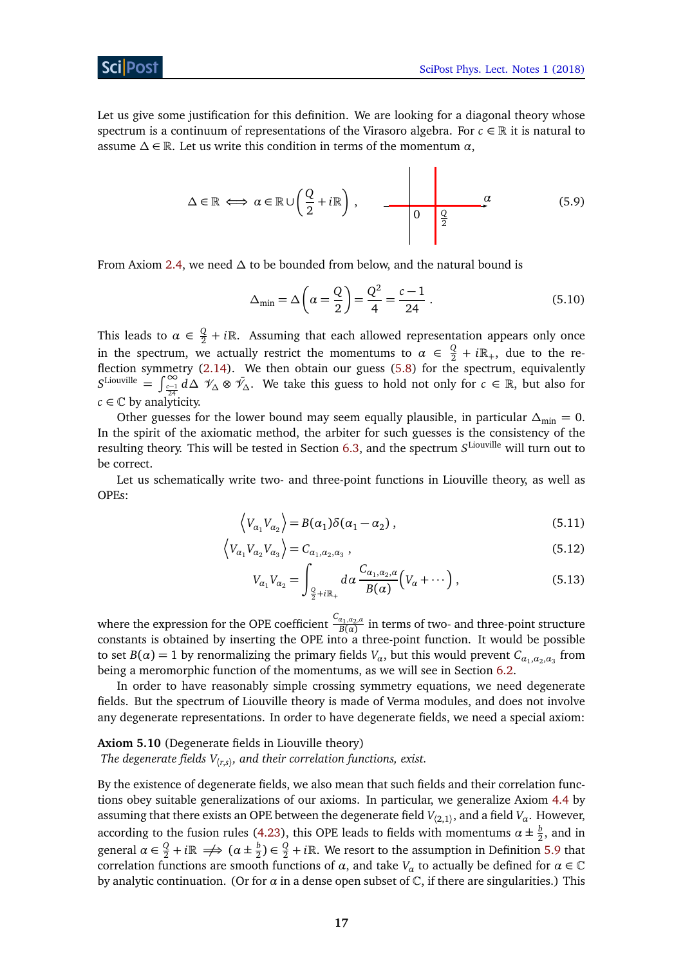Let us give some justification for this definition. We are looking for a diagonal theory whose spectrum is a continuum of representations of the Virasoro algebra. For  $c \in \mathbb{R}$  it is natural to assume  $\Delta \in \mathbb{R}$ . Let us write this condition in terms of the momentum  $\alpha$ ,

$$
\Delta \in \mathbb{R} \iff \alpha \in \mathbb{R} \cup \left(\frac{Q}{2} + i\mathbb{R}\right), \qquad \longrightarrow \qquad \qquad \alpha \qquad \qquad \alpha \qquad (5.9)
$$

From Axiom [2.4,](#page-2-1) we need *∆* to be bounded from below, and the natural bound is

$$
\Delta_{\min} = \Delta \left( \alpha = \frac{Q}{2} \right) = \frac{Q^2}{4} = \frac{c - 1}{24} \,. \tag{5.10}
$$

This leads to  $\alpha \in \frac{Q}{2} + i\mathbb{R}$ . Assuming that each allowed representation appears only once in the spectrum, we actually restrict the momentums to  $\alpha \in \frac{Q}{2} + i\mathbb{R}_+$ , due to the reflection symmetry [\(2.14\)](#page-4-2). We then obtain our guess [\(5.8\)](#page-15-1) for the spectrum, equivalently  $S^{\text{Liouville}} = \int_{\frac{c-1}{24}}^{\infty} d\Delta \mathcal{V}_{\Delta} \otimes \mathcal{V}_{\Delta}$ . We take this guess to hold not only for  $c \in \mathbb{R}$ , but also for  $c \in \mathbb{C}$  by analyticity.

Other guesses for the lower bound may seem equally plausible, in particular  $\Delta_{\text{min}} = 0$ . In the spirit of the axiomatic method, the arbiter for such guesses is the consistency of the resulting theory. This will be tested in Section [6.3,](#page-20-0) and the spectrum *S* Liouville will turn out to be correct.

Let us schematically write two- and three-point functions in Liouville theory, as well as OPEs:

$$
\langle V_{\alpha_1} V_{\alpha_2} \rangle = B(\alpha_1) \delta(\alpha_1 - \alpha_2) , \qquad (5.11)
$$

$$
\left\langle V_{\alpha_1} V_{\alpha_2} V_{\alpha_3} \right\rangle = C_{\alpha_1, \alpha_2, \alpha_3} \tag{5.12}
$$

<span id="page-16-2"></span><span id="page-16-1"></span><span id="page-16-0"></span>
$$
V_{\alpha_1} V_{\alpha_2} = \int_{\frac{Q}{2} + i\mathbb{R}_+} d\alpha \frac{C_{\alpha_1, \alpha_2, \alpha}}{B(\alpha)} \Big( V_{\alpha} + \cdots \Big) , \qquad (5.13)
$$

where the expression for the OPE coefficient  $\frac{C_{a_1, a_2, a_3}}{R(\alpha)}$  $\frac{a_1, a_2, a}{B(\alpha)}$  in terms of two- and three-point structure constants is obtained by inserting the OPE into a three-point function. It would be possible to set  $B(\alpha) = 1$  by renormalizing the primary fields  $V_{\alpha}$ , but this would prevent  $C_{\alpha_1,\alpha_2,\alpha_3}$  from being a meromorphic function of the momentums, as we will see in Section [6.2.](#page-19-0)

In order to have reasonably simple crossing symmetry equations, we need degenerate fields. But the spectrum of Liouville theory is made of Verma modules, and does not involve any degenerate representations. In order to have degenerate fields, we need a special axiom:

# **Axiom 5.10** (Degenerate fields in Liouville theory)

*The degenerate fields V*〈*r*,*s*〉 *, and their correlation functions, exist.*

By the existence of degenerate fields, we also mean that such fields and their correlation functions obey suitable generalizations of our axioms. In particular, we generalize Axiom [4.4](#page-10-3) by assuming that there exists an OPE between the degenerate field  $V_{\langle 2,1 \rangle}$ , and a field  $V_\alpha.$  However, according to the fusion rules [\(4.23\)](#page-13-1), this OPE leads to fields with momentums  $\alpha \pm \frac{b}{2}$  $\frac{b}{2}$ , and in general  $\alpha \in \frac{Q}{2} + i\mathbb{R} \implies (\alpha \pm \frac{b}{2})$  $\frac{b}{2}$ )  $\in \frac{Q}{2} + i\mathbb{R}$ . We resort to the assumption in Definition [5.9](#page-15-2) that correlation functions are smooth functions of  $\alpha$ , and take  $V_\alpha$  to actually be defined for  $\alpha \in \mathbb{C}$ by analytic continuation. (Or for  $\alpha$  in a dense open subset of  $\mathbb C$ , if there are singularities.) This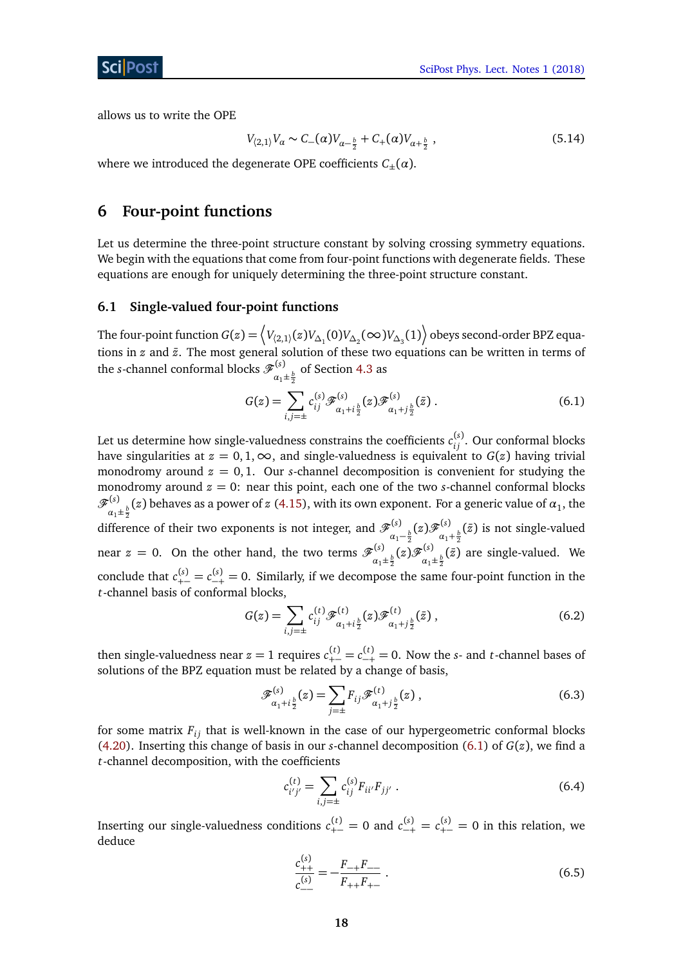allows us to write the OPE

<span id="page-17-3"></span>
$$
V_{(2,1)}V_{\alpha} \sim C_{-}(\alpha)V_{\alpha - \frac{b}{2}} + C_{+}(\alpha)V_{\alpha + \frac{b}{2}} , \qquad (5.14)
$$

where we introduced the degenerate OPE coefficients  $C_{\pm}(\alpha)$ .

# <span id="page-17-0"></span>**6 Four-point functions**

Let us determine the three-point structure constant by solving crossing symmetry equations. We begin with the equations that come from four-point functions with degenerate fields. These equations are enough for uniquely determining the three-point structure constant.

# <span id="page-17-1"></span>**6.1 Single-valued four-point functions**

The four-point function  $G(z)=\left\langle V_{\langle 2,1\rangle}(z)V_{\Delta_1}(0)V_{\Delta_2}(\infty)V_{\Delta_3}(1)\right\rangle$  obeys second-order BPZ equations in *z* and *z*̄. The most general solution of these two equations can be written in terms of the *s*-channel conformal blocks  $\mathscr{F}^{(s)}$  $\frac{a_1 + b_2}{a_1 + b_2}$  of Section [4.3](#page-12-0) as

<span id="page-17-2"></span>
$$
G(z) = \sum_{i,j=\pm} c_{ij}^{(s)} \mathcal{F}_{\alpha_1+i\frac{b}{2}}^{(s)}(z) \mathcal{F}_{\alpha_1+j\frac{b}{2}}^{(s)}(\bar{z}) .
$$
 (6.1)

Let us determine how single-valuedness constrains the coefficients  $c_{ij}^{(s)}$ . Our conformal blocks have singularities at  $z = 0, 1, \infty$ , and single-valuedness is equivalent to  $G(z)$  having trivial monodromy around  $z = 0, 1$ . Our *s*-channel decomposition is convenient for studying the monodromy around *z* = 0: near this point, each one of the two *s*-channel conformal blocks F (*s*)  $\frac{d}{dx}$ <sub> $a_1\pm\frac{b}{2}$ </sub> (*z*) behaves as a power of *z* [\(4.15\)](#page-11-1), with its own exponent. For a generic value of  $a_1$ , the difference of their two exponents is not integer, and  $\mathscr{F}^{(s)}$ *α*<sub>1</sub>−<sup>*b*</sup></sup><sub>2</sub> (*z*) F<sup>(*s*)</sup><sub>α<sub>1</sub></sub>.  $\frac{d^{(8)}}{a_1 + \frac{b}{2}}$  ( $\bar{z}$ ) is not single-valued near  $z = 0$ . On the other hand, the two terms  $\mathscr{F}^{(s)}_{\alpha\beta\gamma\delta}$  $\frac{d}{\alpha_1\pm \frac{b}{2}}(z)$  F $\frac{(s)}{\alpha_1}$  $\frac{d^{(8)}}{d_1\pm\frac{b}{2}}(\bar{z})$  are single-valued. We conclude that  $c_{+-}^{(s)} = c_{-+}^{(s)} = 0$ . Similarly, if we decompose the same four-point function in the *t*-channel basis of conformal blocks,

$$
G(z) = \sum_{i,j=\pm} c_{ij}^{(t)} \mathcal{F}_{\alpha_1+i\frac{b}{2}}^{(t)}(z) \mathcal{F}_{\alpha_1+j\frac{b}{2}}^{(t)}(\bar{z}), \qquad (6.2)
$$

then single-valuedness near  $z = 1$  requires  $c_{+-}^{(t)} = c_{-+}^{(t)} = 0$ . Now the *s*- and *t*-channel bases of solutions of the BPZ equation must be related by a change of basis,

$$
\mathcal{F}_{\alpha_1 + i\frac{b}{2}}^{(s)}(z) = \sum_{j=\pm} F_{ij} \mathcal{F}_{\alpha_1 + j\frac{b}{2}}^{(t)}(z) ,
$$
 (6.3)

for some matrix  $F_{ij}$  that is well-known in the case of our hypergeometric conformal blocks [\(4.20\)](#page-12-2). Inserting this change of basis in our *s*-channel decomposition [\(6.1\)](#page-17-2) of *G*(*z*), we find a *t*-channel decomposition, with the coefficients

$$
c_{i'j'}^{(t)} = \sum_{i,j=\pm} c_{ij}^{(s)} F_{ii'} F_{jj'} .
$$
 (6.4)

Inserting our single-valuedness conditions  $c_{+-}^{(t)} = 0$  and  $c_{-+}^{(s)} = c_{+-}^{(s)} = 0$  in this relation, we deduce

$$
\frac{c_{++}^{(s)}}{c_{--}^{(s)}} = -\frac{F_{-+}F_{--}}{F_{++}F_{+-}}\,. \tag{6.5}
$$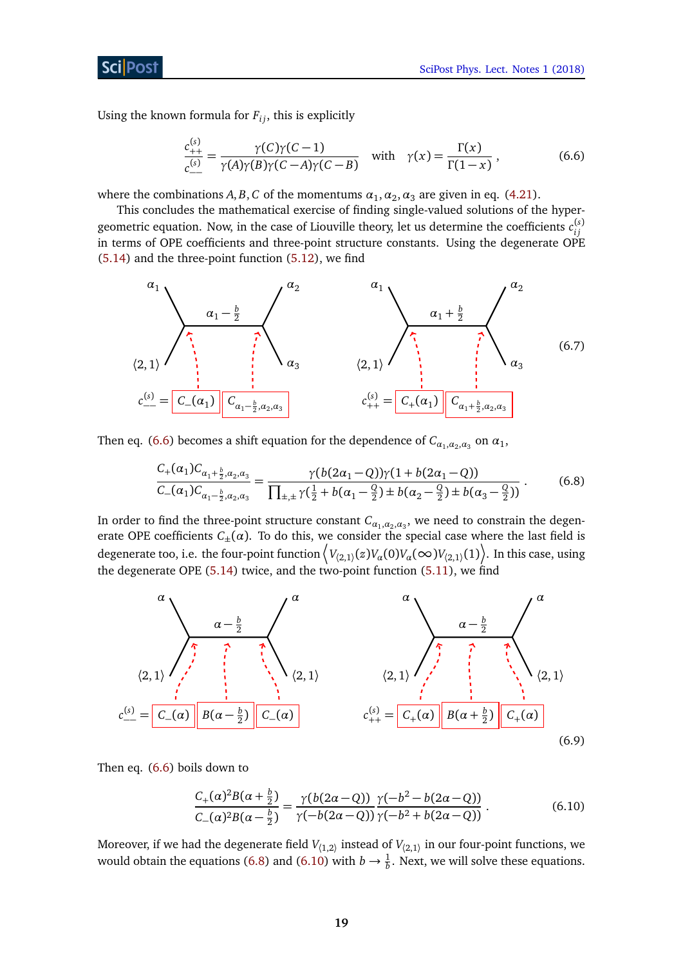# ScilPost

Using the known formula for  $F_{ij}$ , this is explicitly

<span id="page-18-0"></span>
$$
\frac{c_{++}^{(s)}}{c_{--}^{(s)}} = \frac{\gamma(C)\gamma(C-1)}{\gamma(A)\gamma(B)\gamma(C-A)\gamma(C-B)} \quad \text{with} \quad \gamma(x) = \frac{\Gamma(x)}{\Gamma(1-x)} \,, \tag{6.6}
$$

where the combinations  $A, B, C$  of the momentums  $\alpha_1, \alpha_2, \alpha_3$  are given in eq. [\(4.21\)](#page-12-3).

This concludes the mathematical exercise of finding single-valued solutions of the hypergeometric equation. Now, in the case of Liouville theory, let us determine the coefficients  $c_{ij}^{(s)}$ *i j* in terms of OPE coefficients and three-point structure constants. Using the degenerate OPE [\(5.14\)](#page-17-3) and the three-point function [\(5.12\)](#page-16-0), we find



Then eq. [\(6.6\)](#page-18-0) becomes a shift equation for the dependence of  $C_{\alpha_1,\alpha_2,\alpha_3}$  on  $\alpha_1$ ,

<span id="page-18-1"></span>
$$
\frac{C_{+}(\alpha_{1})C_{\alpha_{1}+\frac{b}{2},\alpha_{2},\alpha_{3}}}{C_{-}(\alpha_{1})C_{\alpha_{1}-\frac{b}{2},\alpha_{2},\alpha_{3}}} = \frac{\gamma(b(2\alpha_{1}-Q))\gamma(1+b(2\alpha_{1}-Q))}{\prod_{\pm,\pm}\gamma(\frac{1}{2}+b(\alpha_{1}-\frac{Q}{2})\pm b(\alpha_{2}-\frac{Q}{2})\pm b(\alpha_{3}-\frac{Q}{2}))}.
$$
(6.8)

In order to find the three-point structure constant  $\mathcal{C}_{a_1,a_2,a_3}$ , we need to constrain the degenerate OPE coefficients  $C_{\pm}(\alpha)$ . To do this, we consider the special case where the last field is degenerate too, i.e. the four-point function  $\left\langle V_{(2,1)}(z)V_a(0)V_a(\infty)V_{(2,1)}(1)\right\rangle$ . In this case, using the degenerate OPE  $(5.14)$  twice, and the two-point function  $(5.11)$ , we find

![](_page_18_Figure_10.jpeg)

Then eq. [\(6.6\)](#page-18-0) boils down to

<span id="page-18-2"></span>
$$
\frac{C_{+}(\alpha)^{2}B(\alpha + \frac{b}{2})}{C_{-}(\alpha)^{2}B(\alpha - \frac{b}{2})} = \frac{\gamma(b(2\alpha - Q))}{\gamma(-b(2\alpha - Q))}\frac{\gamma(-b^{2} - b(2\alpha - Q))}{\gamma(-b^{2} + b(2\alpha - Q))}.
$$
\n(6.10)

Moreover, if we had the degenerate field  $V_{\langle 1,2\rangle}$  instead of  $V_{\langle 2,1\rangle}$  in our four-point functions, we would obtain the equations [\(6.8\)](#page-18-1) and [\(6.10\)](#page-18-2) with  $b \to \frac{1}{b}$ . Next, we will solve these equations.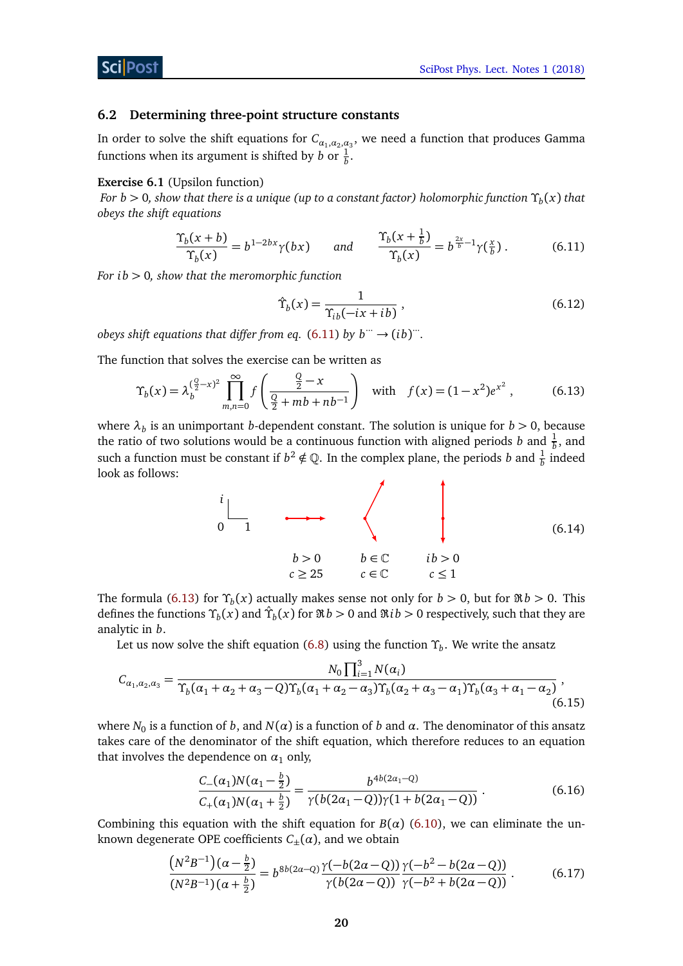#### <span id="page-19-0"></span>**6.2 Determining three-point structure constants**

In order to solve the shift equations for  $C_{\alpha_1,\alpha_2,\alpha_3}$ , we need a function that produces Gamma functions when its argument is shifted by *b* or  $\frac{1}{b}$ .

#### **Exercise 6.1** (Upsilon function)

*For b >* 0*, show that there is a unique (up to a constant factor) holomorphic function Υ<sup>b</sup>* (*x*) *that obeys the shift equations*

$$
\frac{\Upsilon_b(x+b)}{\Upsilon_b(x)} = b^{1-2bx}\gamma(bx) \qquad \text{and} \qquad \frac{\Upsilon_b(x+\frac{1}{b})}{\Upsilon_b(x)} = b^{\frac{2x}{b}-1}\gamma(\frac{x}{b}). \tag{6.11}
$$

*For i b >* 0*, show that the meromorphic function*

<span id="page-19-2"></span><span id="page-19-1"></span>
$$
\hat{\Upsilon}_b(x) = \frac{1}{\Upsilon_{ib}(-ix + ib)},\tag{6.12}
$$

*obeys shift equations that differ from eq.*  $(6.11)$  *by b*  $\cdots \rightarrow (ib)$   $\cdots$ 

The function that solves the exercise can be written as

$$
\Upsilon_b(x) = \lambda_b^{(\frac{Q}{2}-x)^2} \prod_{m,n=0}^{\infty} f\left(\frac{\frac{Q}{2}-x}{\frac{Q}{2}+mb+nb^{-1}}\right) \quad \text{with} \quad f(x) = (1-x^2)e^{x^2},\tag{6.13}
$$

where  $\lambda_b$  is an unimportant *b*-dependent constant. The solution is unique for  $b > 0$ , because the ratio of two solutions would be a continuous function with aligned periods *b* and  $\frac{1}{b}$ , and such a function must be constant if  $b^2 \notin \mathbb{Q}$ . In the complex plane, the periods *b* and  $\frac{1}{b}$  indeed look as follows:

$$
\begin{array}{ccc}\ni & & & \\
0 & 1 & & & \\
& b > 0 & b \in \mathbb{C} & ib > 0 \\
& c \geq 25 & c \in \mathbb{C} & c \leq 1\n\end{array} \tag{6.14}
$$

The formula [\(6.13\)](#page-19-2) for  $\Upsilon_b(x)$  actually makes sense not only for  $b > 0$ , but for  $\Re b > 0$ . This defines the functions  $\Upsilon_b(x)$  and  $\hat{\Upsilon}_b(x)$  for  $\Re b > 0$  and  $\Re ib > 0$  respectively, such that they are analytic in *b*.

Let us now solve the shift equation [\(6.8\)](#page-18-1) using the function *Υ<sup>b</sup>* . We write the ansatz

$$
C_{\alpha_1,\alpha_2,\alpha_3} = \frac{N_0 \prod_{i=1}^3 N(\alpha_i)}{\Upsilon_b(\alpha_1 + \alpha_2 + \alpha_3 - Q)\Upsilon_b(\alpha_1 + \alpha_2 - \alpha_3)\Upsilon_b(\alpha_2 + \alpha_3 - \alpha_1)\Upsilon_b(\alpha_3 + \alpha_1 - \alpha_2)},
$$
\n(6.15)

where  $N_0$  is a function of  $b$ , and  $N(\alpha)$  is a function of  $b$  and  $\alpha$ . The denominator of this ansatz takes care of the denominator of the shift equation, which therefore reduces to an equation that involves the dependence on  $\alpha_1$  only,

$$
\frac{C_{-}(\alpha_{1})N(\alpha_{1}-\frac{b}{2})}{C_{+}(\alpha_{1})N(\alpha_{1}+\frac{b}{2})} = \frac{b^{4b(2\alpha_{1}-Q)}}{\gamma(b(2\alpha_{1}-Q))\gamma(1+b(2\alpha_{1}-Q))}.
$$
\n(6.16)

Combining this equation with the shift equation for  $B(\alpha)$  [\(6.10\)](#page-18-2), we can eliminate the unknown degenerate OPE coefficients  $C_{\pm}(\alpha)$ , and we obtain

$$
\frac{\left(N^2B^{-1}\right)(\alpha-\frac{b}{2})}{\left(N^2B^{-1}\right)(\alpha+\frac{b}{2})} = b^{8b(2\alpha-Q)} \frac{\gamma(-b(2\alpha-Q))}{\gamma(b(2\alpha-Q))} \frac{\gamma(-b^2-b(2\alpha-Q))}{\gamma(-b^2+b(2\alpha-Q))}.
$$
\n(6.17)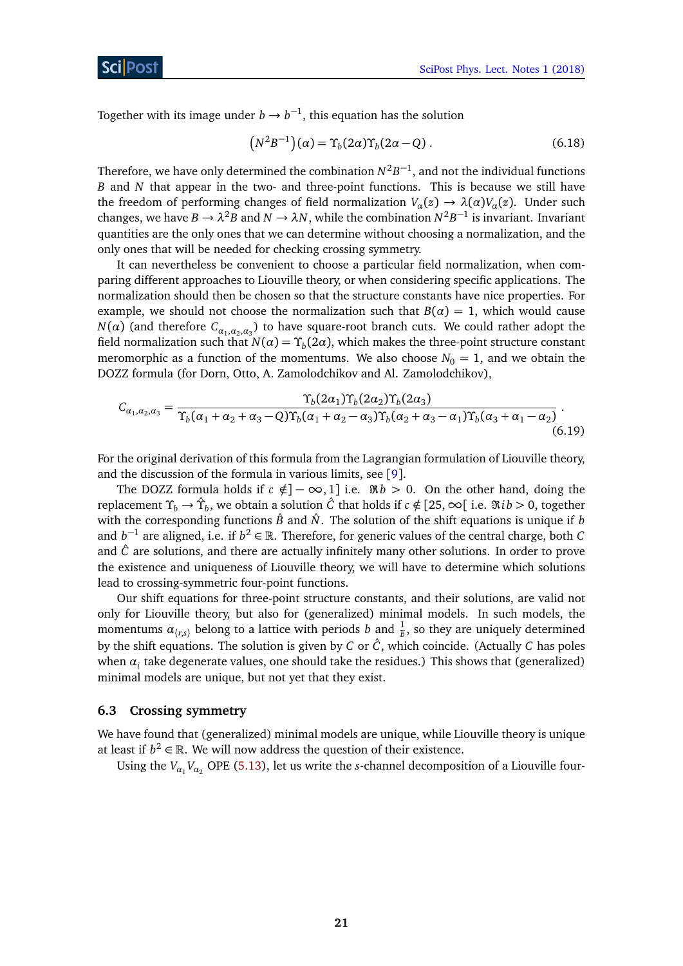Together with its image under  $b \to b^{-1}$ , this equation has the solution

$$
(N2B-1)(\alpha) = \Upsilon_b(2\alpha)\Upsilon_b(2\alpha - Q) . \qquad (6.18)
$$

Therefore, we have only determined the combination  $N^2B^{-1}$ , and not the individual functions *B* and *N* that appear in the two- and three-point functions. This is because we still have the freedom of performing changes of field normalization  $V_a(z) \to \lambda(\alpha)V_a(z)$ . Under such changes, we have  $B \to \lambda^2 B$  and  $N \to \lambda N$ , while the combination  $N^2 B^{-1}$  is invariant. Invariant quantities are the only ones that we can determine without choosing a normalization, and the only ones that will be needed for checking crossing symmetry.

It can nevertheless be convenient to choose a particular field normalization, when comparing different approaches to Liouville theory, or when considering specific applications. The normalization should then be chosen so that the structure constants have nice properties. For example, we should not choose the normalization such that  $B(\alpha) = 1$ , which would cause *N*(*α*) (and therefore  $C_{\alpha_1,\alpha_2,\alpha_3}$ ) to have square-root branch cuts. We could rather adopt the field normalization such that  $N(\alpha) = \Upsilon_b(2\alpha)$ , which makes the three-point structure constant meromorphic as a function of the momentums. We also choose  $N_0 = 1$ , and we obtain the DOZZ formula (for Dorn, Otto, A. Zamolodchikov and Al. Zamolodchikov),

$$
C_{\alpha_1,\alpha_2,\alpha_3} = \frac{\Upsilon_b(2\alpha_1)\Upsilon_b(2\alpha_2)\Upsilon_b(2\alpha_3)}{\Upsilon_b(\alpha_1 + \alpha_2 + \alpha_3 - Q)\Upsilon_b(\alpha_1 + \alpha_2 - \alpha_3)\Upsilon_b(\alpha_2 + \alpha_3 - \alpha_1)\Upsilon_b(\alpha_3 + \alpha_1 - \alpha_2)}.
$$
\n(6.19)

For the original derivation of this formula from the Lagrangian formulation of Liouville theory, and the discussion of the formula in various limits, see [[9](#page-22-8)].

The DOZZ formula holds if  $c \notin ]-\infty,1]$  i.e.  $\Re b > 0$ . On the other hand, doing the replacement *Υ<sup>b</sup>* → *Υ*ˆ *b* , we obtain a solution *C*ˆ that holds if *c* ∈*/* [25,∞[ i.e. ℜ*i b >* 0, together with the corresponding functions  $\hat{B}$  and  $\hat{N}$ . The solution of the shift equations is unique if *b* and  $b^{-1}$  are aligned, i.e. if  $b^2 \in \mathbb{R}$ . Therefore, for generic values of the central charge, both *C* and  $\hat{C}$  are solutions, and there are actually infinitely many other solutions. In order to prove the existence and uniqueness of Liouville theory, we will have to determine which solutions lead to crossing-symmetric four-point functions.

Our shift equations for three-point structure constants, and their solutions, are valid not only for Liouville theory, but also for (generalized) minimal models. In such models, the momentums  $\alpha_{\langle r,s\rangle}$  belong to a lattice with periods *b* and  $\frac{1}{b}$ , so they are uniquely determined by the shift equations. The solution is given by *C* or  $\hat{C}$ , which coincide. (Actually *C* has poles when  $\alpha_i$  take degenerate values, one should take the residues.) This shows that (generalized) minimal models are unique, but not yet that they exist.

#### <span id="page-20-0"></span>**6.3 Crossing symmetry**

We have found that (generalized) minimal models are unique, while Liouville theory is unique at least if  $b^2 \in \mathbb{R}$ . We will now address the question of their existence.

Using the  $V_{\alpha_1}V_{\alpha_2}$  OPE [\(5.13\)](#page-16-2), let us write the *s*-channel decomposition of a Liouville four-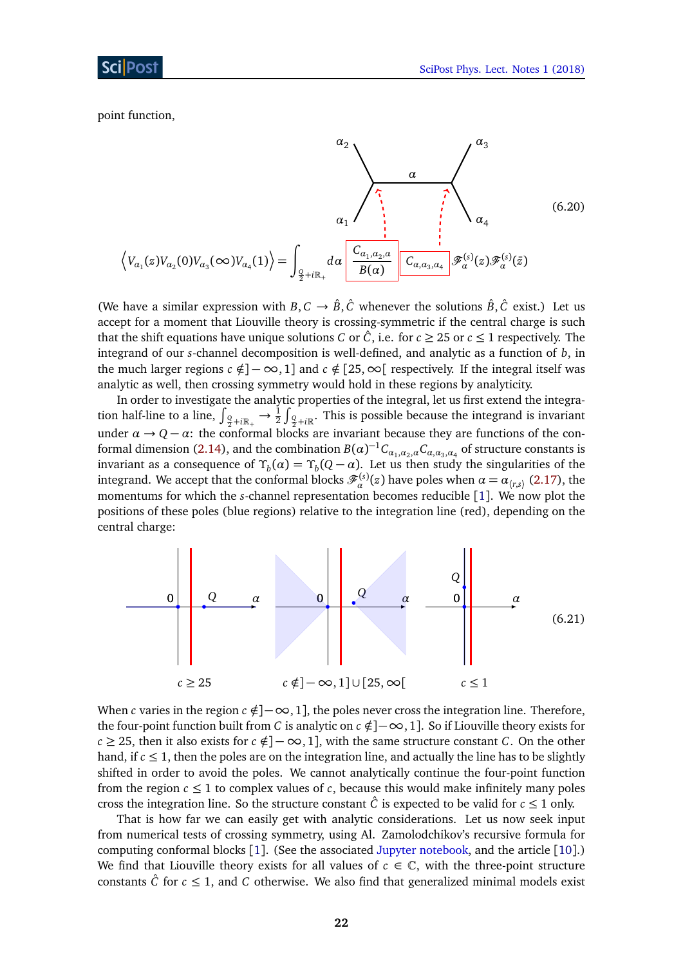point function,

$$
\langle V_{\alpha_1}(z)V_{\alpha_2}(0)V_{\alpha_3}(\infty)V_{\alpha_4}(1)\rangle = \int_{\frac{Q}{2}+i\mathbb{R}_+} d\alpha \frac{\left(\frac{C_{\alpha_1,\alpha_2,\alpha}}{B(\alpha)}\right) \left(\frac{C_{\alpha_3,\alpha_3,\alpha_4}}{C_{\alpha_4,\alpha_3,\alpha_4}}\right) \mathcal{F}_{\alpha}^{(s)}(z) \mathcal{F}_{\alpha}^{(s)}(\bar{z})}
$$
(6.20)

(We have a similar expression with *B*,  $C \rightarrow \hat{B}$ ,  $\hat{C}$  whenever the solutions  $\hat{B}$ ,  $\hat{C}$  exist.) Let us accept for a moment that Liouville theory is crossing-symmetric if the central charge is such that the shift equations have unique solutions *C* or  $\hat{C}$ , i.e. for  $c \geq 25$  or  $c \leq 1$  respectively. The integrand of our *s*-channel decomposition is well-defined, and analytic as a function of *b*, in the much larger regions  $c \notin ]-\infty,1]$  and  $c \notin [25,\infty[$  respectively. If the integral itself was analytic as well, then crossing symmetry would hold in these regions by analyticity.

In order to investigate the analytic properties of the integral, let us first extend the integration half-line to a line,  $\int_{Q_2+i\mathbb{R}_+}\to \frac{1}{2}\int_{Q_2+i\mathbb{R}}$ . This is possible because the integrand is invariant under  $\alpha \to Q - \alpha$ : the conformal blocks are invariant because they are functions of the con-formal dimension [\(2.14\)](#page-4-2), and the combination  $B(\alpha)^{-1}C_{\alpha_1,\alpha_2,\alpha}C_{\alpha,\alpha_3,\alpha_4}$  of structure constants is invariant as a consequence of  $\Upsilon_b(\alpha) = \Upsilon_b(Q-\alpha)$ . Let us then study the singularities of the integrand. We accept that the conformal blocks  $\mathscr{F}_{\alpha}^{(s)}(z)$  have poles when  $\alpha = \alpha_{\langle r,s\rangle}$  [\(2.17\)](#page-4-1), the momentums for which the *s*-channel representation becomes reducible [[1](#page-22-0)]. We now plot the positions of these poles (blue regions) relative to the integration line (red), depending on the central charge:

<span id="page-21-0"></span>![](_page_21_Figure_5.jpeg)

When *c* varies in the region  $c \notin ]-\infty,1]$ , the poles never cross the integration line. Therefore, the four-point function built from *C* is analytic on  $c \notin ]-\infty,1]$ . So if Liouville theory exists for  $c \ge 25$ , then it also exists for  $c \notin ]-\infty,1]$ , with the same structure constant *C*. On the other hand, if  $c \leq 1$ , then the poles are on the integration line, and actually the line has to be slightly shifted in order to avoid the poles. We cannot analytically continue the four-point function from the region  $c \leq 1$  to complex values of c, because this would make infinitely many poles cross the integration line. So the structure constant  $\hat{C}$  is expected to be valid for  $c \le 1$  only.

That is how far we can easily get with analytic considerations. Let us now seek input from numerical tests of crossing symmetry, using Al. Zamolodchikov's recursive formula for computing conformal blocks [[1](#page-22-0)]. (See the associated [Jupyter notebook,](https://github.com/ribault/bootstrap-2d-Python/blob/master/Liouville_demo_2.ipynb) and the article [[10](#page-22-9)].) We find that Liouville theory exists for all values of  $c \in \mathbb{C}$ , with the three-point structure constants  $\hat{C}$  for  $c \leq 1$ , and *C* otherwise. We also find that generalized minimal models exist